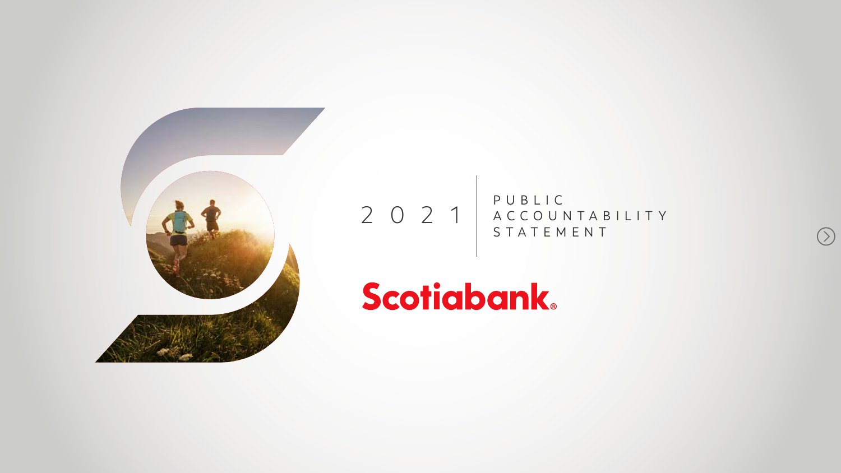

### 2021 P U B L I C ACCOUNTABILIT Y STATEMENT

# Scotiabank.

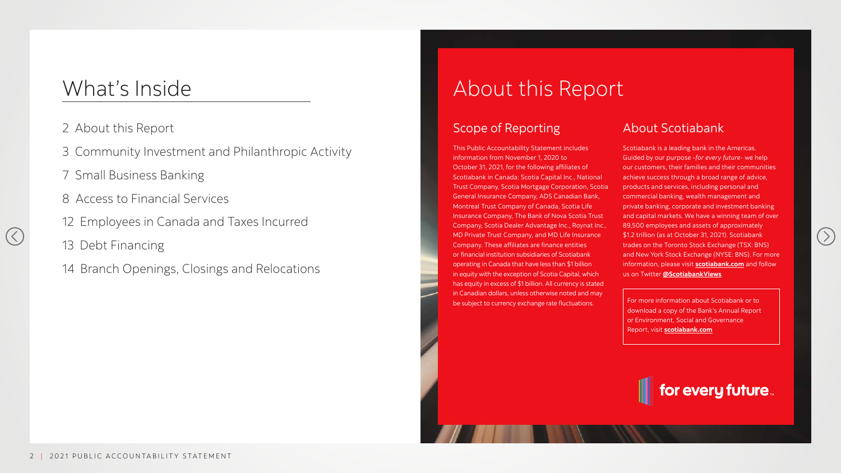## About this Report

### Scope of Reporting

This Public Accountability Statement includes information from November 1, 2020 to October 31, 2021, for the following affiliates of Scotiabank in Canada: Scotia Capital Inc., National Trust Company, Scotia Mortgage Corporation, Scotia General Insurance Company, ADS Canadian Bank, Montreal Trust Company of Canada, Scotia Life Insurance Company, The Bank of Nova Scotia Trust Company, Scotia Dealer Advantage Inc., Roynat Inc., MD Private Trust Company, and MD Life Insurance Company. These affiliates are finance entities or financial institution subsidiaries of Scotiabank operating in Canada that have less than \$1 billion in equity with the exception of Scotia Capital, which has equity in excess of \$1 billion. All currency is stated in Canadian dollars, unless otherwise noted and may be subject to currency exchange rate fluctuations.

### About Scotiabank

Scotiabank is a leading bank in the Americas. Guided by our purpose -*for every future*- we help our customers, their families and their communities achieve success through a broad range of advice, products and services, including personal and commercial banking, wealth management and private banking, corporate and investment banking and capital markets. We have a winning team of over 89,500 employees and assets of approximately \$1.2 trillion (as at October 31, 2021). Scotiabank trades on the Toronto Stock Exchange (TSX: BNS) and New York Stock Exchange (NYSE: BNS). For more information, please visit **[scotiabank.com](https://www.scotiabank.com/)** and follow us on Twitter **[@ScotiabankViews](https://twitter.com/ScotiabankViews)**.

For more information about Scotiabank or to download a copy of the Bank's Annual Report or Environment, Social and Governance Report, visit **[scotiabank.com](https://www.scotiabank.com/)**







- 2 About this Report
- 3 Community Investment and Philanthropic Activity
- 7 Small Business Banking
- 8 Access to Financial Services
- 12 Employees in Canada and Taxes Incurred
- 13 Debt Financing
- 14 Branch Openings, Closings and Relocations

## What's Inside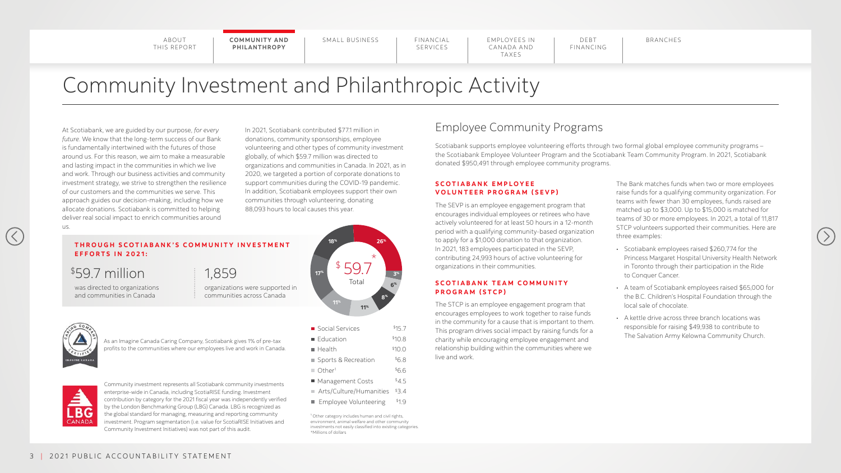SERVICES

**COMMUNITY AND** | SMALL BUSINESS | FINANCIAL | EMPLOYEES IN | DEBT | BRANCHES **PHILANTHROPY**

SMALL BUSINESS | FINANCIAL

EMPLOYEES IN CANADA AND TAXES

DEBT FINANCING

## Community Investment and Philanthropic Activity

At Scotiabank, we are guided by our purpose, *for every future*. We know that the long-term success of our Bank is fundamentally intertwined with the futures of those around us. For this reason, we aim to make a measurable and lasting impact in the communities in which we live and work. Through our business activities and community investment strategy, we strive to strengthen the resilience of our customers and the communities we serve. This approach guides our decision-making, including how we allocate donations. Scotiabank is committed to helping deliver real social impact to enrich communities around us.

In 2021, Scotiabank contributed \$77.1 million in donations, community sponsorships, employee volunteering and other types of community investment globally, of which \$59.7 million was directed to organizations and communities in Canada. In 2021, as in 2020, we targeted a portion of corporate donations to support communities during the COVID-19 pandemic. In addition, Scotiabank employees support their own communities through volunteering, donating 88,093 hours to local causes this year.

#### **THROUGH SCOTIABANK'S COMMUNITY INVESTMENT EFFORTS IN 2021:**

#### **S C O T I A B A N K E M P L O Y E E VOLUNTEER PROGRAM (SEVP)**

As an Imagine Canada Caring Company, Scotiabank gives 1% of pre-tax profits to the communities where our employees live and work in Canada.



Community investment represents all Scotiabank community investments enterprise-wide in Canada, including ScotiaRISE funding. Investment contribution by category for the 2021 fiscal year was independently verified by the London Benchmarking Group (LBG) Canada. LBG is recognized as the global standard for managing, measuring and reporting community investment. Program segmentation (i.e. value for ScotiaRISE Initiatives and Community Investment Initiatives) was not part of this audit.

- Social Services
- $\blacksquare$  Education
	-
- $\blacksquare$  Sports & Recreation  $$6.8$
- $\blacksquare$  Other<sup>1</sup>  $$6.6$

 $\blacksquare$  Health

- $\blacksquare$  Management Costs  $$4.5$
- Arts/Culture/Humanities  $$3.4$
- Employee Volunteering \$1.9

was directed to organizations and communities in Canada

## \$59.7 million

organizations were supported in communities across Canada

### 1,859

<sup>1</sup> Other category includes human and civil rights, environment, animal welfare and other community investments not easily classified into existing categories. \*Millions of dollars

The SEVP is an employee engagement program that encourages individual employees or retirees who have actively volunteered for at least 50 hours in a 12-month period with a qualifying community-based organization to apply for a \$1,000 donation to that organization. In 2021, 183 employees participated in the SEVP, contributing 24,993 hours of active volunteering for organizations in their communities.

#### **S C O T I A B A N K T E A M C O M M U N I T Y P R O G R A M ( S T C P )**

The STCP is an employee engagement program that encourages employees to work together to raise funds in the community for a cause that is important to them. This program drives social impact by raising funds for a charity while encouraging employee engagement and relationship building within the communities where we live and work.

The Bank matches funds when two or more employees raise funds for a qualifying community organization. For teams with fewer than 30 employees, funds raised are matched up to \$3,000. Up to \$15,000 is matched for teams of 30 or more employees. In 2021, a total of 11,817 STCP volunteers supported their communities. Here are three examples:

- Scotiabank employees raised \$260,774 for the Princess Margaret Hospital University Health Network in Toronto through their participation in the Ride to Conquer Cancer.
- A team of Scotiabank employees raised \$65,000 for the B.C. Children's Hospital Foundation through the local sale of chocolate.
- A kettle drive across three branch locations was responsible for raising \$49,938 to contribute to The Salvation Army Kelowna Community Church.



## Employee Community Programs

Scotiabank supports employee volunteering efforts through two formal global employee community programs – the Scotiabank Employee Volunteer Program and the Scotiabank Team Community Program. In 2021, Scotiabank donated \$950,491 through employee community programs.





**3%**

 $$15.7$  $$10.8$  $$10.0$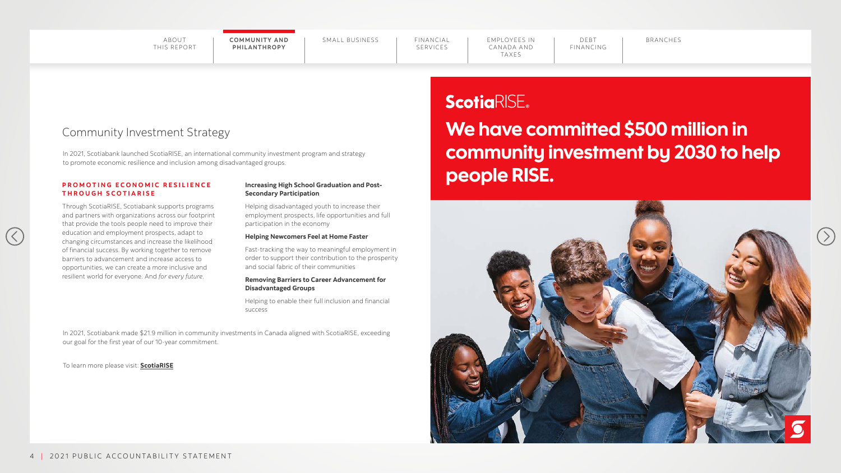EMPLOYEES IN CANADA AND TAXES

DEBT FINANCING

#### **PROMOTING ECONOMIC RESILIENCE T H R O U G H S C O T I A R I S E**

### Community Investment Strategy

Through ScotiaRISE, Scotiabank supports programs and partners with organizations across our footprint that provide the tools people need to improve their education and employment prospects, adapt to changing circumstances and increase the likelihood of financial success. By working together to remove barriers to advancement and increase access to opportunities, we can create a more inclusive and resilient world for everyone. And *for every future*.

 $\left(\right.$ 

#### **Increasing High School Graduation and Post-Secondary Participation**

## We have committed \$500 million in community investment by 2030 to help people RISE. ScotiaRISE









Helping disadvantaged youth to increase their employment prospects, life opportunities and full participation in the economy

#### **Helping Newcomers Feel at Home Faster**

Fast-tracking the way to meaningful employment in order to support their contribution to the prosperity and social fabric of their communities

#### **Removing Barriers to Career Advancement for Disadvantaged Groups**

Helping to enable their full inclusion and financial success

In 2021, Scotiabank launched ScotiaRISE, an international community investment program and strategy to promote economic resilience and inclusion among disadvantaged groups.

In 2021, Scotiabank made \$21.9 million in community investments in Canada aligned with ScotiaRISE, exceeding our goal for the first year of our 10-year commitment.

To learn more please visit: **[ScotiaRISE](https://www.scotiabank.com/ca/en/about/responsibility-impact/scotiarise.html )**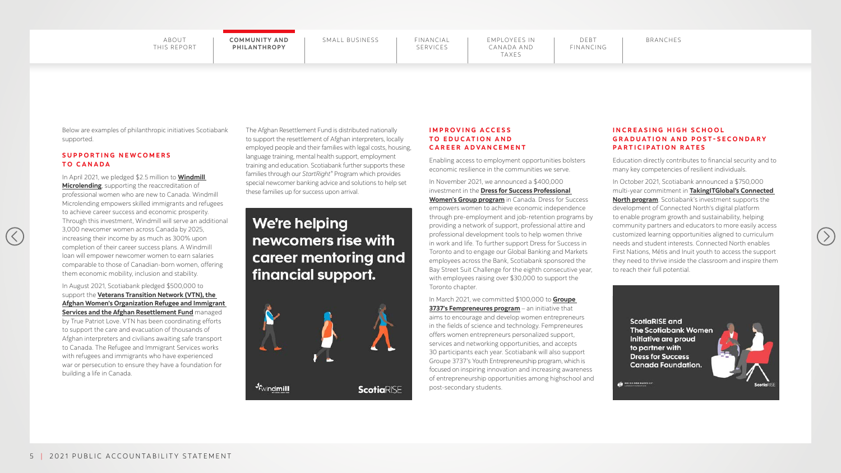## SERVICES

COMMUNITY AND | SMALL BUSINESS | FINANCIAL | EMPLOYEES IN | DEBT | BRANCHES **PHILANTHROPY**

EMPLOYEES IN CANADA AND TAXES

Below are examples of philanthropic initiatives Scotiabank supported.

#### **S U P P O R T I N G N E W C O M E R S TO CANADA**

 $(\langle$ 

#### In August 2021, Scotiabank [pledged \\$500,000](https://www.scotiabank.com/corporate/en/home/media-centre/media-centre/news-release.html?id=3760&language=en) to support the **[Veterans Transition Network \(VTN\), the](https://www.scotiabank.com/corporate/en/home/media-centre/media-centre/news-release.html?id=3760&language=en)  [Afghan Women's Organization Refugee and Immigrant](https://www.scotiabank.com/corporate/en/home/media-centre/media-centre/news-release.html?id=3760&language=en)  [Services and the Afghan Resettlement Fund](https://www.scotiabank.com/corporate/en/home/media-centre/media-centre/news-release.html?id=3760&language=en)** managed

In April 2021, we pledged \$2.5 million to **[Windmill](https://www.scotiabank.com/corporate/en/home/media-centre/media-centre/news-release.html?id=3716&language=en)  [Microlending](https://www.scotiabank.com/corporate/en/home/media-centre/media-centre/news-release.html?id=3716&language=en)**, supporting the reaccreditation of professional women who are new to Canada. Windmill Microlending empowers skilled immigrants and refugees to achieve career success and economic prosperity. Through this investment, Windmill will serve an additional 3,000 newcomer women across Canada by 2025, increasing their income by as much as 300% upon completion of their career success plans. A Windmill loan will empower newcomer women to earn salaries comparable to those of Canadian-born women, offering them economic mobility, inclusion and stability.

by True Patriot Love. VTN has been coordinating efforts to support the care and evacuation of thousands of Afghan interpreters and civilians awaiting safe transport to Canada. The Refugee and Immigrant Services works with refugees and immigrants who have experienced war or persecution to ensure they have a foundation for building a life in Canada.

The Afghan Resettlement Fund is distributed nationally to support the resettlement of Afghan interpreters, locally employed people and their families with legal costs, housing, language training, mental health support, employment training and education. Scotiabank further supports these families through our *StartRight®* Program which provides special newcomer banking advice and solutions to help set these families up for success upon arrival.

We're helping newcomers rise with career mentoring and financial support.



#### **INCREASING HIGH SCHOOL G R A D U A T I O N A N D P O S T - S E C O N D A R Y PARTICIPATION RATES**

#### **I M P R O V I N G A C C E S S TO EDUCATION AND CAREER ADVANCEMENT**

Enabling access to employment opportunities bolsters economic resilience in the communities we serve.

In November 2021, we announced a \$400,000 investment in the **[Dress for Success Professional](https://www.scotiabank.com/corporate/en/home/media-centre/media-centre/news-release.html?id=3784&language=en)  [Women's Group program](https://www.scotiabank.com/corporate/en/home/media-centre/media-centre/news-release.html?id=3784&language=en)** in Canada. Dress for Success empowers women to achieve economic independence through pre-employment and job-retention programs by providing a network of support, professional attire and professional development tools to help women thrive in work and life. To further support Dress for Success in Toronto and to engage our Global Banking and Markets employees across the Bank, Scotiabank sponsored the Bay Street Suit Challenge for the eighth consecutive year, with employees raising over \$30,000 to support the Toronto chapter.

In March 2021, we committed \$100,000 to **[Groupe](https://www.scotiabank.com/corporate/en/home/media-centre/media-centre/news-release.html?id=3672&language=en)  [3737's Fempreneures program](https://www.scotiabank.com/corporate/en/home/media-centre/media-centre/news-release.html?id=3672&language=en)** – an initiative that aims to encourage and develop women entrepreneurs in the fields of science and technology. Fempreneures offers women entrepreneurs personalized support, services and networking opportunities, and accepts 30 participants each year. Scotiabank will also support Groupe 3737's Youth Entrepreneurship program, which is focused on inspiring innovation and increasing awareness of entrepreneurship opportunities among highschool and post-secondary students.

Education directly contributes to financial security and to many key competencies of resilient individuals.

In October 2021, Scotiabank announced a \$750,000 multi-year commitment in **[TakingITGlobal's Connected](https://www.scotiabank.com/corporate/en/home/media-centre/media-centre/news-release.html?id=3754&language=en)  [North program](https://www.scotiabank.com/corporate/en/home/media-centre/media-centre/news-release.html?id=3754&language=en)**. Scotiabank's investment supports the development of Connected North's digital platform to enable program growth and sustainability, helping community partners and educators to more easily access customized learning opportunities aligned to curriculum needs and student interests. Connected North enables First Nations, Métis and Inuit youth to access the support they need to thrive inside the classroom and inspire them to reach their full potential.

> **ScotiaRISE and The Scotiabank Women** Initiative are proud to partner with **Dress for Success Canada Foundation.**



**OF DELISTORIUCCISS** 

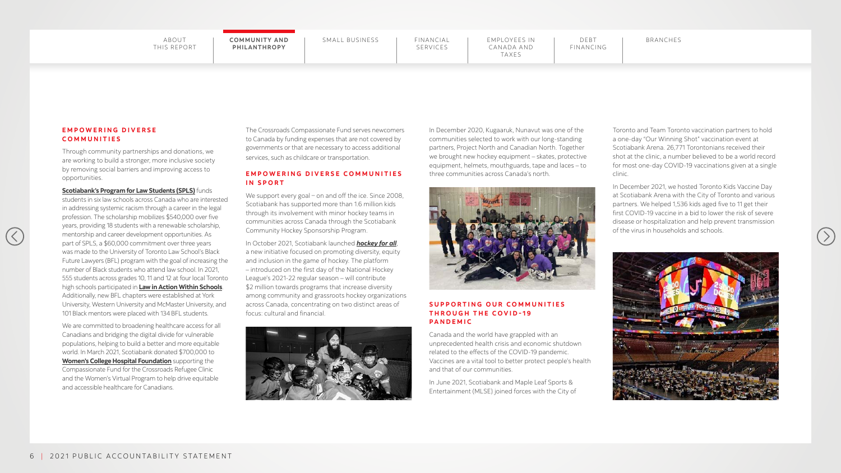#### SERVICES EMPLOYEES IN CANADA AND TAXES DEBT FINANCING COMMUNITY AND | SMALL BUSINESS | FINANCIAL | EMPLOYEES IN | DEBT | BRANCHES

#### **E M P O W E R I N G D I V E R S E COMMUNITIES**

 $\left(\left\langle \right\rangle \right)$ 

Through community partnerships and donations, we are working to build a stronger, more inclusive society by removing social barriers and improving access to opportunities.

**[Scotiabank's Program for Law Students \(SPLS\)](https://www.scotiabank.com/corporate/en/home/media-centre/media-centre/news-release.html?id=3652&language=en)** funds students in six law schools across Canada who are interested in addressing systemic racism through a career in the legal profession. The scholarship mobilizes \$540,000 over five years, providing 18 students with a renewable scholarship, mentorship and career development opportunities. As part of SPLS, a \$60,000 commitment over three years was made to the University of Toronto Law School's Black Future Lawyers (BFL) program with the goal of increasing the number of Black students who attend law school. In 2021, 555 students across grades 10, 11 and 12 at four local Toronto high schools participated in **[Law in Action Within Schools](https://www.lawinaction.ca/)**. Additionally, new BFL chapters were established at York University, Western University and McMaster University, and 101 Black mentors were placed with 134 BFL students.

#### EMPOWERING DIVERSE COMMUNITIES **IN SPORT**

We support every goal – on and off the ice. Since 2008, Scotiabank has supported more than 1.6 million kids through its involvement with minor hockey teams in communities across Canada through the Scotiabank Community Hockey Sponsorship Program.

We are committed to broadening healthcare access for all Canadians and bridging the digital divide for vulnerable populations, helping to build a better and more equitable world. In March 2021, Scotiabank donated \$700,000 to **[Women's College Hospital Foundation](https://www.scotiabank.com/corporate/en/home/media-centre/media-centre/news-release.html?id=3673&language=en)** supporting the Compassionate Fund for the Crossroads Refugee Clinic and the Women's Virtual Program to help drive equitable and accessible healthcare for Canadians.

The Crossroads Compassionate Fund serves newcomers to Canada by funding expenses that are not covered by governments or that are necessary to access additional services, such as childcare or transportation.

In October 2021, Scotiabank launched *[hockey for all](https://www.scotiabank.com/content/scotiabank/corporate/en/home/media-centre/media-centre/news-release.html?id=3758&language=en)*, a new initiative focused on promoting diversity, equity and inclusion in the game of hockey. The platform – introduced on the first day of the National Hockey League's 2021-22 regular season – will contribute \$2 million towards programs that increase diversity among community and grassroots hockey organizations across Canada, concentrating on two distinct areas of focus: cultural and financial.



In December 2020, Kugaaruk, Nunavut was one of the communities selected to work with our long-standing partners, Project North and Canadian North. Together we brought new hockey equipment – skates, protective equipment, helmets, mouthguards, tape and laces – to three communities across Canada's north.

#### **S U P P O R T I N G O U R C O M M U N I T I E S THROUGH THE COVID-19 PANDEMIC**

Canada and the world have grappled with an unprecedented health crisis and economic shutdown related to the effects of the COVID-19 pandemic. Vaccines are a vital tool to better protect people's health and that of our communities.

In June 2021, Scotiabank and Maple Leaf Sports & Entertainment (MLSE) joined forces with the City of

Toronto and Team Toronto vaccination partners to hold a one-day "Our Winning Shot" vaccination event at Scotiabank Arena. 26,771 Torontonians received their shot at the clinic, a number believed to be a world record for most one-day COVID-19 vaccinations given at a single clinic.

In December 2021, we hosted Toronto Kids Vaccine Day at Scotiabank Arena with the City of Toronto and various partners. We helped 1,536 kids aged five to 11 get their first COVID-19 vaccine in a bid to lower the risk of severe disease or hospitalization and help prevent transmission of the virus in households and schools.





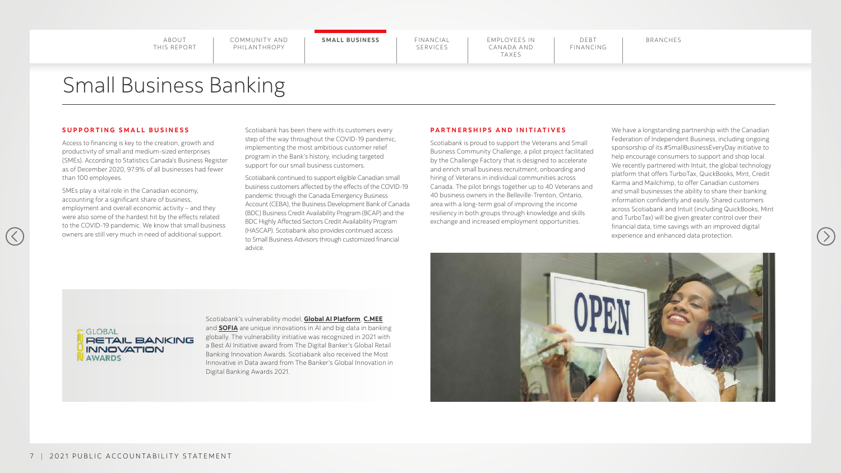COMMUNITY AND PHILANTHROPY

**SMALL BUSINESS | FINANCIAL** 

## SERVICES

EMPLOYEES IN CANADA AND TAXES

## Small Business Banking

#### **SUPPORTING SMALL BUSINESS**

 $(\langle$ 

Access to financing is key to the creation, growth and productivity of small and medium-sized enterprises (SMEs). According to Statistics Canada's Business Register as of December 2020, 97.9% of all businesses had fewer than 100 employees.

SMEs play a vital role in the Canadian economy, accounting for a significant share of business, employment and overall economic activity – and they were also some of the hardest hit by the effects related to the COVID-19 pandemic. We know that small business owners are still very much in need of additional support.

Scotiabank has been there with its customers every step of the way throughout the COVID-19 pandemic, implementing the most ambitious customer relief program in the Bank's history, including targeted support for our small business customers.

Scotiabank continued to support eligible Canadian small business customers affected by the effects of the COVID-19 pandemic through the Canada Emergency Business Account (CEBA), the Business Development Bank of Canada (BDC) Business Credit Availability Program (BCAP) and the BDC Highly Affected Sectors Credit Availability Program (HASCAP). Scotiabank also provides continued access to Small Business Advisors through customized financial advice.



#### **PARTNERSHIPS AND INITIATIVES**

Scotiabank is proud to support the Veterans and Small Business Community Challenge, a pilot project facilitated by the Challenge Factory that is designed to accelerate and enrich small business recruitment, onboarding and hiring of Veterans in individual communities across Canada. The pilot brings together up to 40 Veterans and 40 business owners in the Belleville-Trenton, Ontario, area with a long-term goal of improving the income resiliency in both groups through knowledge and skills exchange and increased employment opportunities.

We have a longstanding partnership with the Canadian Federation of Independent Business, including ongoing sponsorship of its #SmallBusinessEveryDay initiative to help encourage consumers to support and shop local. We recently partnered with Intuit, the global technology platform that offers TurboTax, QuickBooks, Mint, Credit Karma and Mailchimp, to offer Canadian customers and small businesses the ability to share their banking information confidently and easily. Shared customers across Scotiabank and Intuit (including QuickBooks, Mint and TurboTax) will be given greater control over their financial data, time savings with an improved digital experience and enhanced data protection.





Scotiabank's vulnerability model, **[Global AI Platform](https://www.scotiabank.com/content/scotiabank/corporate/en/home/media-centre/media-centre/news-release.html?id=3612&language=en)**, **[C.MEE](https://www.scotiabank.com/content/scotiabank/corporate/en/home/media-centre/media-centre/news-release.html?id=3660&language=en)** and **[SOFIA](https://www.scotiabank.com/ca/en/about/perspectives.articles.digital.2021-01-grm-machine-learning-analytics.html)** are unique innovations in AI and big data in banking globally. The vulnerability initiative was recognized in 2021 with a Best AI Initiative award from The Digital Banker's Global Retail Banking Innovation Awards. Scotiabank also received the Most Innovative in Data award from The Banker's Global Innovation in Digital Banking Awards 2021.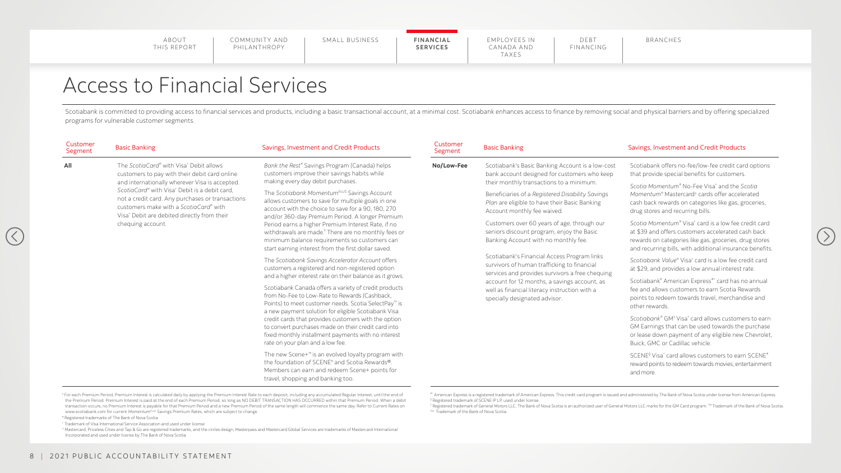COMMUNITY AND PHILANTHROPY

|--|--|--|

## Access to Financial Services

Scotiabank is committed to providing access to financial services and products, including a basic transactional account, at a minimal cost. Scotiabank enhances access to finance by removing social and physical barriers and programs for vulnerable customer segments.

1 For each Premium Period, Premium Interest is calculated daily by applying the Premium Interest Rate to each deposit, including any accumulated Regular Interest, until the end of the Premium Period. Premium Interest is paid at the end of each Premium Period, so long as NO DEBIT TRANSACTION HAS OCCURRED within that Premium Period. When a debit transaction occurs, no Premium Interest is payable for that Premium Period and a new Premium Period of the same length will commence the same day. Refer to Current Rates on www.scotiabank.com for current Momentum<sup>PLUS</sup> Savings Premium Rates, which are subject to change.

| Customer<br>Segment | <b>Basic Banking</b>                                                                                                                                                                                                                                                                                                                                                                                                                                                                                                                                                                                                                                                       | Savings, Investment and Credit Products                                                                                                                                                                                           | Customer<br>Segment                                                                                                              | <b>Basic Banking</b>                                                                                                                                                                                                                                                             | Savings, Investment and Credit Products                                                                                                                                                                                       |
|---------------------|----------------------------------------------------------------------------------------------------------------------------------------------------------------------------------------------------------------------------------------------------------------------------------------------------------------------------------------------------------------------------------------------------------------------------------------------------------------------------------------------------------------------------------------------------------------------------------------------------------------------------------------------------------------------------|-----------------------------------------------------------------------------------------------------------------------------------------------------------------------------------------------------------------------------------|----------------------------------------------------------------------------------------------------------------------------------|----------------------------------------------------------------------------------------------------------------------------------------------------------------------------------------------------------------------------------------------------------------------------------|-------------------------------------------------------------------------------------------------------------------------------------------------------------------------------------------------------------------------------|
| <b>All</b>          | The ScotiaCard® with Visa* Debit allows<br>customers to pay with their debit card online<br>and internationally wherever Visa is accepted.                                                                                                                                                                                                                                                                                                                                                                                                                                                                                                                                 | Bank the Rest® Savings Program (Canada) helps<br>customers improve their savings habits while<br>making every day debit purchases.                                                                                                | No/Low-Fee                                                                                                                       | Scotiabank's Basic Banking Account is a low-cost<br>bank account designed for customers who keep<br>their monthly transactions to a minimum.<br>Beneficiaries of a Registered Disability Savings<br>Plan are eligible to have their Basic Banking<br>Account monthly fee waived. | Scotiabank offers no-fee/low-fee credit card options<br>that provide special benefits for customers.                                                                                                                          |
|                     | ScotiaCard® with Visa* Debit is a debit card,<br>The Scotiabank Momentum <sup>PLUS</sup> Savings Account<br>not a credit card. Any purchases or transactions<br>allows customers to save for multiple goals in one<br>customers make with a ScotiaCard® with<br>account with the choice to save for a 90, 180, 270<br>Visa* Debit are debited directly from their<br>and/or 360-day Premium Period. A longer Premium<br>chequing account.<br>Period earns a higher Premium Interest Rate, if no<br>withdrawals are made. <sup>1</sup> There are no monthly fees or<br>minimum balance requirements so customers can<br>start earning interest from the first dollar saved. |                                                                                                                                                                                                                                   |                                                                                                                                  |                                                                                                                                                                                                                                                                                  | Scotia Momentum <sup>®</sup> No-Fee Visa <sup>*</sup> and the Scotia<br>Momentum® Mastercard <sup>±</sup> cards offer accelerated<br>cash back rewards on categories like gas, groceries,<br>drug stores and recurring bills. |
|                     |                                                                                                                                                                                                                                                                                                                                                                                                                                                                                                                                                                                                                                                                            |                                                                                                                                                                                                                                   | Customers over 60 years of age, through our<br>seniors discount program, enjoy the Basic<br>Banking Account with no monthly fee. | Scotia Momentum <sup>®</sup> Visa <sup>*</sup> card is a low fee credit card<br>at \$39 and offers customers accelerated cash back<br>rewards on categories like gas, groceries, drug stores<br>and recurring bills, with additional insurance benefits.                         |                                                                                                                                                                                                                               |
|                     |                                                                                                                                                                                                                                                                                                                                                                                                                                                                                                                                                                                                                                                                            | The Scotiabank Savings Accelerator Account offers<br>customers a registered and non-registered option<br>and a higher interest rate on their balance as it grows.                                                                 |                                                                                                                                  | Scotiabank's Financial Access Program links<br>survivors of human trafficking to financial<br>services and provides survivors a free chequing                                                                                                                                    | Scotiabank Value® Visa* card is a low fee credit card<br>at \$29, and provides a low annual interest rate.                                                                                                                    |
|                     |                                                                                                                                                                                                                                                                                                                                                                                                                                                                                                                                                                                                                                                                            | Scotiabank Canada offers a variety of credit products<br>from No-Fee to Low-Rate to Rewards (Cashback,<br>Points) to meet customer needs. Scotia SelectPay <sup>™</sup> is<br>a new payment solution for eligible Scotiabank Visa |                                                                                                                                  | account for 12 months, a savings account, as<br>well as financial literacy instruction with a<br>specially designated advisor.                                                                                                                                                   | Scotiabank® American Express®* card has no annual<br>fee and allows customers to earn Scotia Rewards<br>points to redeem towards travel, merchandise and<br>other rewards.                                                    |
|                     |                                                                                                                                                                                                                                                                                                                                                                                                                                                                                                                                                                                                                                                                            | credit cards that provides customers with the option<br>to convert purchases made on their credit card into<br>fixed monthly installment payments with no interest<br>rate on your plan and a low fee.                            |                                                                                                                                  |                                                                                                                                                                                                                                                                                  | Scotiabank® GM <sup>†</sup> Visa <sup>*</sup> card allows customers to earn<br>GM Earnings that can be used towards the purchase<br>or lease down payment of any eligible new Chevrolet,<br>Buick, GMC or Cadillac vehicle.   |
|                     |                                                                                                                                                                                                                                                                                                                                                                                                                                                                                                                                                                                                                                                                            | The new Scene+ <sup>™</sup> is an evolved loyalty program with<br>the foundation of SCENE® and Scotia Rewards®.<br>Members can earn and redeem Scene+ points for<br>travel, shopping and banking too.                             |                                                                                                                                  |                                                                                                                                                                                                                                                                                  | SCENE <sup>®</sup> Visa <sup>*</sup> card allows customers to earn SCENE <sup>®</sup><br>reward points to redeem towards movies, entertainment<br>and more.                                                                   |

® Registered trademarks of The Bank of Nova Scotia

\* Trademark of Visa International Service Association and used under license

± Mastercard, Priceless Cities and Tap & Go are registered trademarks, and the circles design, Masterpass and Mastercard Global Services are trademarks of Mastercard International Incorporated and used under license by The Bank of Nova Scotia

®\* American Express is a registered trademark of American Express. This credit card program is issued and administered by The Bank of Nova Scotia under license from American Express. ◊ Registered trademark of SCENE IP LP, used under license.

† Registered trademark of General Motors LLC. The Bank of Nova Scotia is an authorized user of General Motors LLC marks for the GM Card program. ™Trademark of the Bank of Nova Scotia. ™ Trademark of the Bank of Nova Scotia

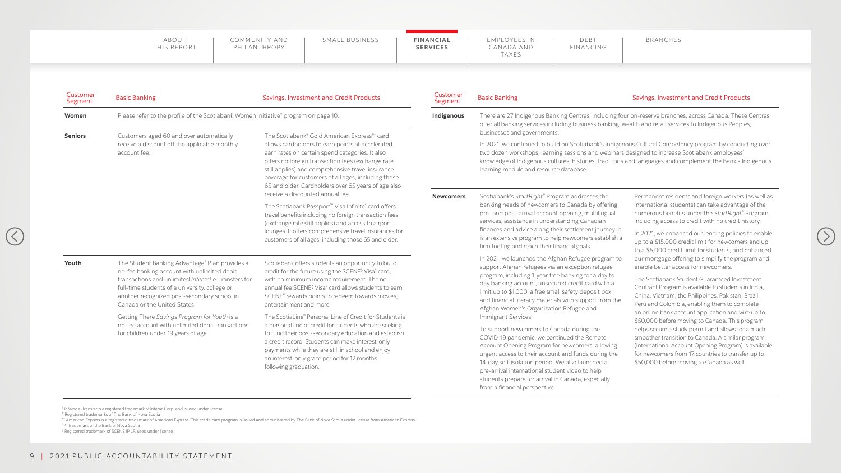COMMUNITY AND PHILANTHROPY

| FINANCING<br><b>SERVICES</b><br>CANADA AND<br>TAXES |
|-----------------------------------------------------|
|-----------------------------------------------------|



®\* American Express is a registered trademark of American Express. This credit card program is issued and administered by The Bank of Nova Scotia under license from American Express. ™ Trademark of the Bank of Nova Scotia

| Customer<br>Segment | <b>Basic Banking</b>                                                                                                                                                                                                                                                                                                                                                                                                                                                                                                                                                                                                                                                                                                                                                                                                                          | Savings, Investment and Credit Products                                                                                                                                                                                                                                                                                                                                                                                                                                                                                                                                                                                                                                                                                | Customer<br>Segment                                                                                                                                                                                                                                                                                                                                                                               | <b>Basic Banking</b>                                                                                                                                                                                                                                                                                                                                                                                                                                                                                                                                                                                                                                                                                                                                                                                      | Savings, Investment and Credit Products                                                                                                                                                                                                                                                                                                                                                                                                                                                                                                                                                                                                                                         |  |
|---------------------|-----------------------------------------------------------------------------------------------------------------------------------------------------------------------------------------------------------------------------------------------------------------------------------------------------------------------------------------------------------------------------------------------------------------------------------------------------------------------------------------------------------------------------------------------------------------------------------------------------------------------------------------------------------------------------------------------------------------------------------------------------------------------------------------------------------------------------------------------|------------------------------------------------------------------------------------------------------------------------------------------------------------------------------------------------------------------------------------------------------------------------------------------------------------------------------------------------------------------------------------------------------------------------------------------------------------------------------------------------------------------------------------------------------------------------------------------------------------------------------------------------------------------------------------------------------------------------|---------------------------------------------------------------------------------------------------------------------------------------------------------------------------------------------------------------------------------------------------------------------------------------------------------------------------------------------------------------------------------------------------|-----------------------------------------------------------------------------------------------------------------------------------------------------------------------------------------------------------------------------------------------------------------------------------------------------------------------------------------------------------------------------------------------------------------------------------------------------------------------------------------------------------------------------------------------------------------------------------------------------------------------------------------------------------------------------------------------------------------------------------------------------------------------------------------------------------|---------------------------------------------------------------------------------------------------------------------------------------------------------------------------------------------------------------------------------------------------------------------------------------------------------------------------------------------------------------------------------------------------------------------------------------------------------------------------------------------------------------------------------------------------------------------------------------------------------------------------------------------------------------------------------|--|
| Women               | Please refer to the profile of the Scotiabank Women Initiative® program on page 10.                                                                                                                                                                                                                                                                                                                                                                                                                                                                                                                                                                                                                                                                                                                                                           |                                                                                                                                                                                                                                                                                                                                                                                                                                                                                                                                                                                                                                                                                                                        | Indigenous                                                                                                                                                                                                                                                                                                                                                                                        | There are 27 Indigenous Banking Centres, including four on-reserve branches, across Canada. These Centres<br>offer all banking services including business banking, wealth and retail services to Indigenous Peoples,                                                                                                                                                                                                                                                                                                                                                                                                                                                                                                                                                                                     |                                                                                                                                                                                                                                                                                                                                                                                                                                                                                                                                                                                                                                                                                 |  |
| <b>Seniors</b>      | The Scotiabank® Gold American Express®* card<br>Customers aged 60 and over automatically<br>receive a discount off the applicable monthly<br>allows cardholders to earn points at accelerated<br>earn rates on certain spend categories. It also<br>account fee.<br>offers no foreign transaction fees (exchange rate<br>still applies) and comprehensive travel insurance<br>coverage for customers of all ages, including those<br>65 and older. Cardholders over 65 years of age also<br>receive a discounted annual fee.<br>The Scotiabank Passport <sup>™</sup> Visa Infinite <sup>*</sup> card offers<br>travel benefits including no foreign transaction fees<br>(exchange rate still applies) and access to airport<br>lounges. It offers comprehensive travel insurances for<br>customers of all ages, including those 65 and older. |                                                                                                                                                                                                                                                                                                                                                                                                                                                                                                                                                                                                                                                                                                                        | businesses and governments.<br>In 2021, we continued to build on Scotiabank's Indigenous Cultural Competency program by conducting over<br>two dozen workshops, learning sessions and webinars designed to increase Scotiabank employees'<br>knowledge of Indigenous cultures, histories, traditions and languages and complement the Bank's Indigenous<br>learning module and resource database. |                                                                                                                                                                                                                                                                                                                                                                                                                                                                                                                                                                                                                                                                                                                                                                                                           |                                                                                                                                                                                                                                                                                                                                                                                                                                                                                                                                                                                                                                                                                 |  |
|                     |                                                                                                                                                                                                                                                                                                                                                                                                                                                                                                                                                                                                                                                                                                                                                                                                                                               | <b>Newcomers</b>                                                                                                                                                                                                                                                                                                                                                                                                                                                                                                                                                                                                                                                                                                       | Scotiabank's StartRight® Program addresses the<br>banking needs of newcomers to Canada by offering<br>pre- and post-arrival account opening, multilingual<br>services, assistance in understanding Canadian<br>finances and advice along their settlement journey. It<br>is an extensive program to help newcomers establish a<br>firm footing and reach their financial goals.                   | Permanent residents and foreign workers (as well as<br>international students) can take advantage of the<br>numerous benefits under the StartRight® Program,<br>including access to credit with no credit history.<br>In 2021, we enhanced our lending policies to enable<br>up to a \$15,000 credit limit for newcomers and up<br>to a \$5,000 credit limit for students, and enhanced                                                                                                                                                                                                                                                                                                                                                                                                                   |                                                                                                                                                                                                                                                                                                                                                                                                                                                                                                                                                                                                                                                                                 |  |
| Youth               | The Student Banking Advantage® Plan provides a<br>no-fee banking account with unlimited debit<br>transactions and unlimited Interac <sup>t</sup> e-Transfers for<br>full-time students of a university, college or<br>another recognized post-secondary school in<br>Canada or the United States.<br>Getting There Savings Program for Youth is a<br>no-fee account with unlimited debit transactions<br>for children under 19 years of age.                                                                                                                                                                                                                                                                                                                                                                                                  | Scotiabank offers students an opportunity to build<br>credit for the future using the SCENE <sup>®</sup> Visa <sup>*</sup> card,<br>with no minimum income requirement. The no<br>annual fee SCENE <sup>®</sup> Visa <sup>*</sup> card allows students to earn<br>SCENE <sup>®</sup> rewards points to redeem towards movies,<br>entertainment and more.<br>The ScotiaLine® Personal Line of Credit for Students is<br>a personal line of credit for students who are seeking<br>to fund their post-secondary education and establish<br>a credit record. Students can make interest-only<br>payments while they are still in school and enjoy<br>an interest-only grace period for 12 months<br>following graduation. |                                                                                                                                                                                                                                                                                                                                                                                                   | In 2021, we launched the Afghan Refugee program to<br>support Afghan refugees via an exception refugee<br>program, including 1-year free banking for a day to<br>day banking account, unsecured credit card with a<br>limit up to \$1,000, a free small safety deposit box<br>and financial literacy materials with support from the<br>Afghan Women's Organization Refugee and<br>Immigrant Services.<br>To support newcomers to Canada during the<br>COVID-19 pandemic, we continued the Remote<br>Account Opening Program for newcomers, allowing<br>urgent access to their account and funds during the<br>14-day self-isolation period. We also launched a<br>pre-arrival international student video to help<br>students prepare for arrival in Canada, especially<br>from a financial perspective. | our mortgage offering to simplify the program and<br>enable better access for newcomers.<br>The Scotiabank Student Guaranteed Investment<br>Contract Program is available to students in India,<br>China, Vietnam, the Philippines, Pakistan, Brazil,<br>Peru and Colombia, enabling them to complete<br>an online bank account application and wire up to<br>\$50,000 before moving to Canada. This program<br>helps secure a study permit and allows for a much<br>smoother transition to Canada. A similar program<br>(International Account Opening Program) is available<br>for newcomers from 17 countries to transfer up to<br>\$50,000 before moving to Canada as well. |  |

† *Interac* e-Transfer is a registered trademark of Interac Corp. and is used under license

® Registered trademarks of The Bank of Nova Scotia

 $\mathcal{R}$ 

◊ Registered trademark of SCENE IP LP, used under license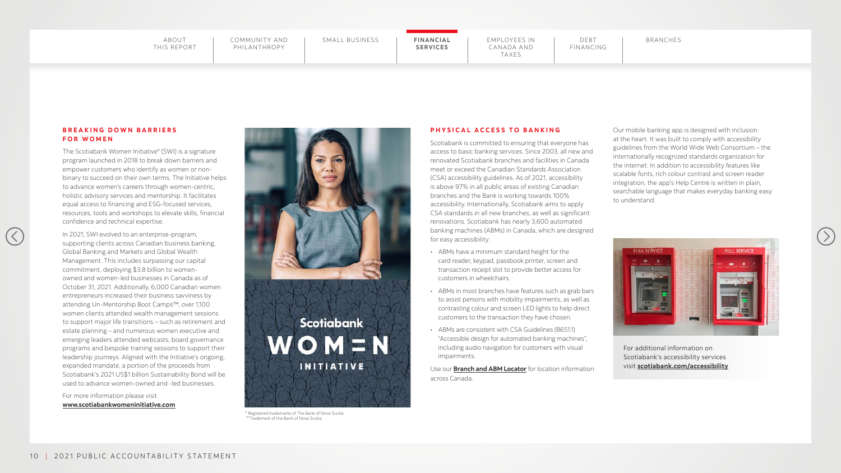COMMUNITY AND PHILANTHROPY

## **SERVICES**

EMPLOYEES IN CANADA AND TAXES

#### **PHYSICAL ACCESS TO BANKING**

Scotiabank is committed to ensuring that everyone has access to basic banking services. Since 2003, all new and renovated Scotiabank branches and facilities in Canada meet or exceed the Canadian Standards Association (CSA) accessibility guidelines. As of 2021, accessibility is above 97% in all public areas of existing Canadian branches and the Bank is working towards 100% accessibility. Internationally, Scotiabank aims to apply CSA standards in all new branches, as well as significant renovations. Scotiabank has nearly 3,600 automated banking machines (ABMs) in Canada, which are designed for easy accessibility:

#### **BREAKING DOWN BARRIERS FOR WOMEN**

 $(\langle$ 

- ABMs have a minimum standard height for the card reader, keypad, passbook printer, screen and transaction receipt slot to provide better access for customers in wheelchairs.
- ABMs in most branches have features such as grab bars to assist persons with mobility impairments, as well as contrasting colour and screen LED lights to help direct customers to the transaction they have chosen.
- ABMs are consistent with CSA Guidelines (B651.1) "Accessible design for automated banking machines", including audio navigation for customers with visual impairments.

Use our **[Branch and ABM Locator](https://maps.scotiabank.com/locator/index.html)** for location information across Canada.

Our mobile banking app is designed with inclusion at the heart. It was built to comply with accessibility guidelines from the World Wide Web Consortium – the internationally recognized standards organization for the internet. In addition to accessibility features like scalable fonts, rich colour contrast and screen reader integration, the app's Help Centre is written in plain, searchable language that makes everyday banking easy to understand.





® Registered trademarks of The Bank of Nova Scotia ™ Trademark of the Bank of Nova Scotia

For additional information on Scotiabank's accessibility services visit **[scotiabank.com/accessibility](https://www.scotiabank.com/ca/en/personal/accessibility.html)**



The Scotiabank Women Initiative® (SWI) is a signature program launched in 2018 to break down barriers and empower customers who identify as women or nonbinary to succeed on their own terms. The Initiative helps to advance women's careers through women-centric, holistic advisory services and mentorship. It facilitates equal access to financing and ESG-focused services, resources, tools and workshops to elevate skills, financial confidence and technical expertise.

In 2021, SWI evolved to an enterprise-program, supporting clients across Canadian business banking, Global Banking and Markets and Global Wealth Management. This includes surpassing our capital commitment, deploying \$3.8 billion to womenowned and women-led businesses in Canada as of October 31, 2021. Additionally, 6,000 Canadian women entrepreneurs increased their business savviness by attending Un-Mentorship Boot Camps™, over 1,100 women clients attended wealth management sessions to support major life transitions – such as retirement and estate planning – and numerous women executive and emerging leaders attended webcasts, board governance programs and bespoke training sessions to support their leadership journeys. Aligned with the Initiative's ongoing, expanded mandate, a portion of the proceeds from Scotiabank's 2021 US\$1 billion Sustainability Bond will be used to advance women-owned and -led businesses.

For more information please visit **[www.scotiabankwomeninitiative.com](http://www.scotiabankwomeninitiative.com)**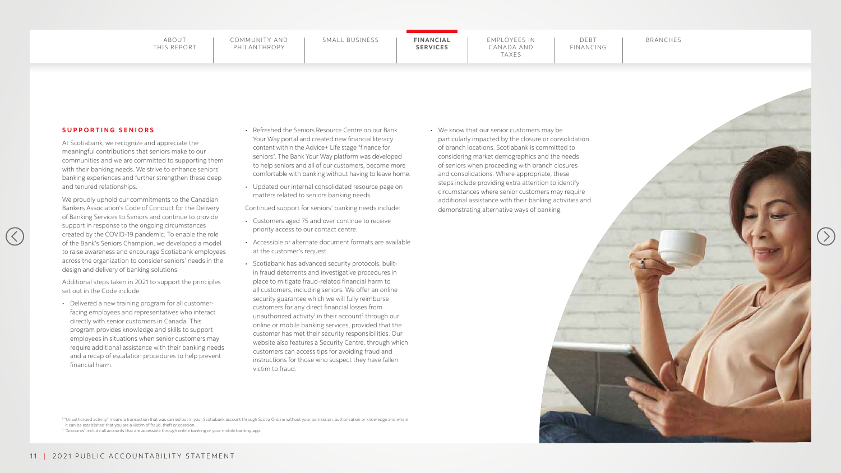## **SERVICES**





#### **SUPPORTING SENIORS**

 $(\langle$ 

At Scotiabank, we recognize and appreciate the meaningful contributions that seniors make to our communities and we are committed to supporting them with their banking needs. We strive to enhance seniors' banking experiences and further strengthen these deep and tenured relationships.

We proudly uphold our commitments to the Canadian Bankers Association's Code of Conduct for the Delivery of Banking Services to Seniors and continue to provide support in response to the ongoing circumstances created by the COVID-19 pandemic. To enable the role of the Bank's Seniors Champion, we developed a model to raise awareness and encourage Scotiabank employees across the organization to consider seniors' needs in the design and delivery of banking solutions.

Additional steps taken in 2021 to support the principles set out in the Code include:

• Delivered a new training program for all customerfacing employees and representatives who interact directly with senior customers in Canada. This program provides knowledge and skills to support employees in situations when senior customers may require additional assistance with their banking needs and a recap of escalation procedures to help prevent financial harm.

- content within the Advice+ Life stage "finance for
- matters related to seniors banking needs.

1 "Unauthorized activity" means a transaction that was carried out in your Scotiabank account through Scotia OnLine without your permission, authorization or knowledge and where it can be established that you are a victim of fraud, theft or coercion.

<sup>2</sup> "Accounts" include all accounts that are accessible through online banking or your mobile banking app.

- Customers aged 75 and over continue to receive priority access to our contact centre.
- Accessible or alternate document formats are available at the customer's request.
- Scotiabank has advanced security protocols, builtin fraud deterrents and investigative procedures in place to mitigate fraud-related financial harm to all customers, including seniors. We offer an online security guarantee which we will fully reimburse customers for any direct financial losses from unauthorized activity<sup>1</sup> in their account<sup>2</sup> through our online or mobile banking services, provided that the customer has met their security responsibilities. Our website also features a Security Centre, through which customers can access tips for avoiding fraud and instructions for those who suspect they have fallen victim to fraud.

• Refreshed the Seniors Resource Centre on our Bank Your Way portal and created new financial literacy seniors". The Bank Your Way platform was developed to help seniors and all of our customers, become more comfortable with banking without having to leave home. • Updated our internal consolidated resource page on Continued support for seniors' banking needs include: • We know that our senior customers may be particularly impacted by the closure or consolidation of branch locations. Scotiabank is committed to considering market demographics and the needs of seniors when proceeding with branch closures and consolidations. Where appropriate, these steps include providing extra attention to identify circumstances where senior customers may require additional assistance with their banking activities and demonstrating alternative ways of banking.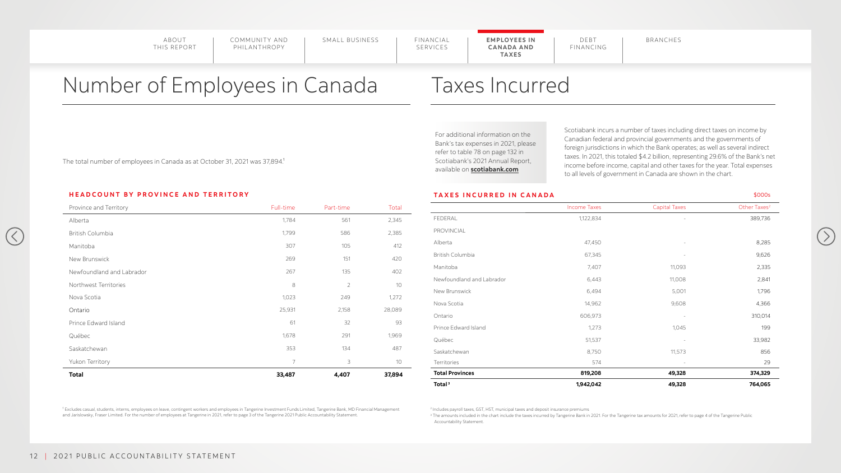COMMUNITY AND PHILANTHROPY

SERVICES

## Number of Employees in Canada

The total number of employees in Canada as at October 31, 2021 was 37,894.<sup>1</sup>

**HEADCOUNT BY PROVINCE AND TERRITORY**

 $(\langle$ 

<sup>1</sup> Excludes casual, students, interns, employees on leave, contingent workers and employees in Tangerine Investment Funds Limited, Tangerine Bank, MD Financial Management and Jarislowsky, Fraser Limited. For the number of employees at Tangerine in 2021, refer to page 3 of the Tangerine 2021 Public Accountability Statement.

 $^{\rm 3}$  The amounts included in the chart include the taxes incurred by Tangerine Bank in 2021. For the Tangerine tax amounts for 2021, refer to page 4 of the Tangerine Public Accountability Statement.



| Province and Territory    | Full-time      | Part-time      | Total  |                           | <b>Income Taxes</b> | <b>Capital Taxes</b> | Other Taxes <sup>2</sup> |
|---------------------------|----------------|----------------|--------|---------------------------|---------------------|----------------------|--------------------------|
| Alberta                   | 1,784          | 561            | 2,345  | FEDERAL                   | 1,122,834           |                      | 389,736                  |
| <b>British Columbia</b>   | 1,799          | 586            | 2,385  | PROVINCIAL                |                     |                      |                          |
| Manitoba                  | 307            | 105            | 412    | Alberta                   | 47,450              |                      | 8,285                    |
| New Brunswick             | 269            | 151            | 420    | <b>British Columbia</b>   | 67,345              |                      | 9,626                    |
| Newfoundland and Labrador | 267            | 135            | 402    | Manitoba                  | 7,407               | 11,093               | 2,335                    |
| Northwest Territories     | 8              | $\overline{2}$ | 10     | Newfoundland and Labrador | 6,443               | 11,008               | 2,841                    |
|                           | 1,023          |                |        | New Brunswick             | 6,494               | 5,001                | 1,796                    |
| Nova Scotia               |                | 249            | 1,272  | Nova Scotia               | 14,962              | 9,608                | 4,366                    |
| Ontario                   | 25,931         | 2,158          | 28,089 | Ontario                   | 606,973             |                      | 310,014                  |
| Prince Edward Island      | 61             | 32             | 93     | Prince Edward Island      | 1,273               | 1,045                | 199                      |
| Québec                    | 1,678          | 291            | 1,969  | Québec                    | 51,537              |                      | 33,982                   |
| Saskatchewan              | 353            | 134            | 487    | Saskatchewan              | 8,750               | 11,573               | 856                      |
| Yukon Territory           | $\overline{7}$ | 3              | 10     | Territories               | 574                 |                      | 29                       |
| <b>Total</b>              | 33,487         | 4,407          | 37,894 | <b>Total Provinces</b>    | 819,208             | 49,328               | 374,329                  |
|                           |                |                |        | Total <sup>3</sup>        | 1,942,042           | 49,328               | 764,065                  |

## Taxes Incurred

2 Includes payroll taxes, GST, HST, municipal taxes and deposit insurance premiums

For additional information on the Bank's tax expenses in 2021, please refer to table 78 on page 132 in Scotiabank's 2021 Annual Report, available on **[scotiabank.com](https://www.scotiabank.com/ca/en/about/investors-shareholders/annual-reports.html)**

Scotiabank incurs a number of taxes including direct taxes on income by Canadian federal and provincial governments and the governments of foreign jurisdictions in which the Bank operates; as well as several indirect taxes. In 2021, this totaled \$4.2 billion, representing 29.6% of the Bank's net income before income, capital and other taxes for the year. Total expenses to all levels of government in Canada are shown in the chart.

#### TAXES INCURRED IN CANADA **\$000s** \$000s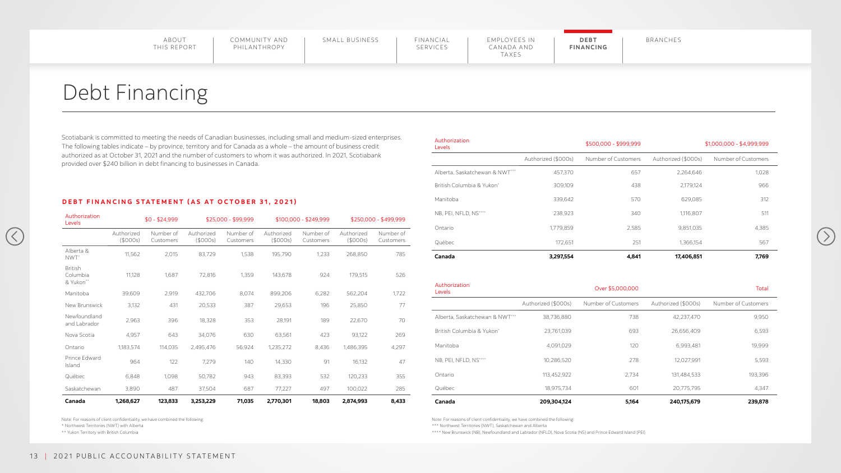COMMUNITY AND PHILANTHROPY

## Debt Financing

Scotiabank is committed to meeting the needs of Canadian businesses, including small and medium-sized enterprises. The following tables indicate – by province, territory and for Canada as a whole – the amount of business credit authorized as at October 31, 2021 and the number of customers to whom it was authorized. In 2021, Scotiabank provided over \$240 billion in debt financing to businesses in Canada.

| Authorization<br>Levels          |                        | $$0 - $24,999$         |                        | \$25,000 - \$99,999    |                        | $$100,000 - $249,999$  |                        | \$250,000 - \$499,999  | IND, PEI, INFLU, IND           | ZJO,YZJ              | 34U                 | 1,110,0U7              | $J \cup C$          |
|----------------------------------|------------------------|------------------------|------------------------|------------------------|------------------------|------------------------|------------------------|------------------------|--------------------------------|----------------------|---------------------|------------------------|---------------------|
|                                  | Authorized<br>(\$000s) | Number of<br>Customers | Authorized<br>(\$000s) | Number of<br>Customers | Authorized<br>(\$000s) | Number of<br>Customers | Authorized<br>(\$000s) | Number of<br>Customers | Ontario<br>Québec              | 1,779,859<br>172,651 | 2,585<br>251        | 9,851,035<br>1,366,154 | 4,385<br>567        |
| Alberta &<br>NWT <sup>*</sup>    | 11,562                 | 2,015                  | 83,729                 | 1,538                  | 195,790                | 1,233                  | 268,850                | 785                    | Canada                         | 3,297,554            | 4,841               | 17,406,851             | 7,769               |
| British<br>Columbia<br>& Yukon** | 11,128                 | 1,687                  | 72,816                 | 1,359                  | 143,678                | 924                    | 179,515                | 526                    | Authorization                  |                      |                     |                        |                     |
| Manitoba                         | 39,609                 | 2,919                  | 432,706                | 8,074                  | 899,206                | 6,282                  | 562,204                | 1,722                  | Levels                         |                      | Over \$5,000,000    |                        | Total               |
| New Brunswick                    | 3,132                  | 431                    | 20,533                 | 387                    | 29,653                 | 196                    | 25,850                 | 77                     |                                | Authorized (\$000s)  | Number of Customers | Authorized (\$000s)    | Number of Customers |
| Newfoundland<br>and Labrador     | 2,963                  | 396                    | 18,328                 | 353                    | 28,191                 | 189                    | 22,670                 | 70                     | Alberta, Saskatchewan & NWT*** | 38,736,880           | 738                 | 42,237,470             | 9,950               |
| Nova Scotia                      | 4,957                  | 643                    | 34,076                 | 630                    | 63,561                 | 423                    | 93,122                 | 269                    | British Columbia & Yukon*      | 23,761,039           | 693                 | 26,656,409             | 6,593               |
| Ontario                          | 1,183,574              | 114,035                | 2,495,476              | 56,924                 | 1,235,272              | 8,436                  | 1,486,395              | 4,297                  | Manitoba                       | 4,091,029            | 120                 | 6,993,481              | 19,999              |
| Prince Edward<br>Island          | 964                    | 122                    | 7,279                  | 140                    | 14,330                 | 91                     | 16,132                 | 47                     | NB, PEI, NFLD, NS****          | 10,286,520           | 278                 | 12,027,991             | 5,593               |
| Québec                           | 6,848                  | 1,098                  | 50,782                 | 943                    | 83,393                 | 532                    | 120,233                | 355                    | Ontario                        | 113,452,922          | 2,734               | 131,484,533            | 193,396             |
| Saskatchewan                     | 3,890                  | 487                    | 37,504                 | 687                    | 77,227                 | 497                    | 100,022                | 285                    | Québec                         | 18,975,734           | 601                 | 20,775,795             | 4,347               |
| Canada                           | 1,268,627              | 123,833                | 3,253,229              | 71,035                 | 2,770,301              | 18,803                 | 2,874,993              | 8,433                  | Canada                         | 209,304,124          | 5,164               | 240,175,679            | 239,878             |

| :د   | Authorization<br>Levels        |                     | \$500,000 - \$999,999 |                     | $$1,000,000 - $4,999,999$ |
|------|--------------------------------|---------------------|-----------------------|---------------------|---------------------------|
|      |                                | Authorized (\$000s) | Number of Customers   | Authorized (\$000s) | Number of Customers       |
|      | Alberta, Saskatchewan & NWT*** | 457,370             | 657                   | 2,264,646           | 1,028                     |
|      | British Columbia & Yukon*      | 309,109             | 438                   | 2,179,124           | 966                       |
|      | Manitoba                       | 339,642             | 570                   | 629,085             | 312                       |
| 999  | NB, PEI, NFLD, NS****          | 238,923             | 340                   | 1,116,807           | 511                       |
| r of | Ontario                        | 1,779,859           | 2,585                 | 9,851,035           | 4,385                     |
| ers  | Québec                         | 172,651             | 251                   | 1,366,154           | 567                       |
| 785  | Canada                         | 3,297,554           | 4,841                 | 17,406,851          | 7,769                     |

#### **DEBT FINANCING STATEMENT (AS AT OCTOBER 31, 2021)**

Note: For reasons of client confidentiality, we have combined the following:

\* Northwest Territories (NWT) with Alberta

\*\* Yukon Territory with British Columbia

 $(\langle$ 

Note: For reasons of client confidentiality, we have combined the following:

\*\*\* Northwest Territories (NWT), Saskatchewan and Alberta

\*\*\*\* New Brunswick (NB), Newfoundland and Labrador (NFLD), Nova Scotia (NS) and Prince Edward Island (PEI)

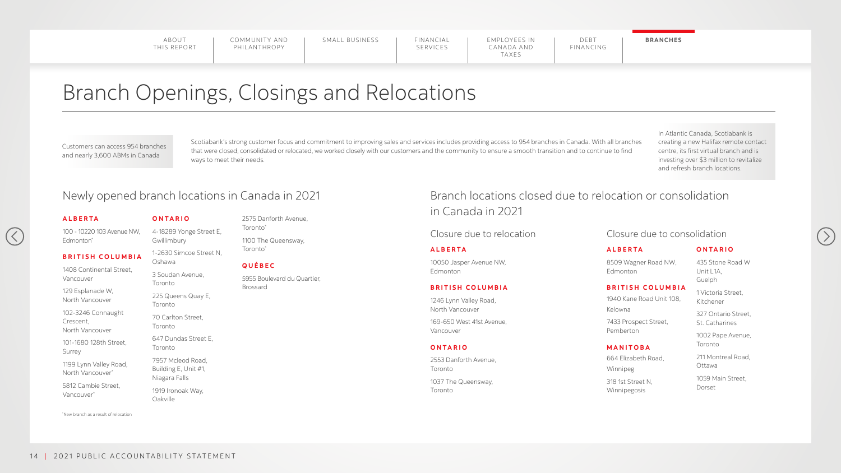COMMUNITY AND PHILANTHROPY

SMALL BUSINESS | FINANCIAL

## Branch Openings, Closings and Relocations

\* New branch as a result of relocation

#### Closure due to relocation Closure due to consolidation

100 - 10220 103 Avenue NW, Edmonton<sup>\*</sup>

Scotiabank's strong customer focus and commitment to improving sales and services includes providing access to 954 branches in Canada. With all branches that were closed, consolidated or relocated, we worked closely with our customers and the community to ensure a smooth transition and to continue to find ways to meet their needs.

#### **ALBERTA**

 $(\langle$ 

#### **BRITISH COLUMBIA**

1408 Continental Street, Vancouver

129 Esplanade W, North Vancouver

102-3246 Connaught Crescent, North Vancouver

101-1680 128th Street, Surrey

1199 Lynn Valley Road, North Vancouver\*

5812 Cambie Street, Vancouver\*

#### **O N TARI O**

4-18289 Yonge Street E, Gwillimbury

1-2630 Simcoe Street N, Oshawa

3 Soudan Avenue, Toronto

225 Queens Quay E, Toronto

70 Carlton Street, Toronto

647 Dundas Street E, Toronto

7957 Mcleod Road, Building E, Unit #1, Niagara Falls

1919 Ironoak Way, Oakville

2575 Danforth Avenue, Toronto\*

1100 The Queensway, Toronto\*

#### **QUÉBEC**

5955 Boulevard du Quartier, Brossard

#### **ALBERTA**

10050 Jasper Avenue NW, Edmonton

#### **BRITISH COLUMBIA**

1246 Lynn Valley Road, North Vancouver

169-650 West 41st Avenue, Vancouver

#### **ONTARIO**

2553 Danforth Avenue, Toronto 1037 The Queensway, Toronto

#### **ALB E R TA**

8509 Wagner Road NW, Edmonton

#### **BRITISH COLUMBIA**

1940 Kane Road Unit 108, Kelowna

7433 Prospect Street, Pemberton

#### **M A N ITOBA**

664 Elizabeth Road, Winnipeg

318 1st Street N, Winnipegosis

#### **O N TARIO**

435 Stone Road W Unit L1A, Guelph

1 Victoria Street, Kitchener

327 Ontario Street, St. Catharines

1002 Pape Avenue, Toronto

211 Montreal Road, Ottawa

1059 Main Street, Dorset



## Newly opened branch locations in Canada in 2021 Branch locations closed due to relocation or consolidation in Canada in 2021

Customers can access 954 branches and nearly 3,600 ABMs in Canada

In Atlantic Canada, Scotiabank is creating a new Halifax remote contact centre, its first virtual branch and is investing over \$3 million to revitalize and refresh branch locations.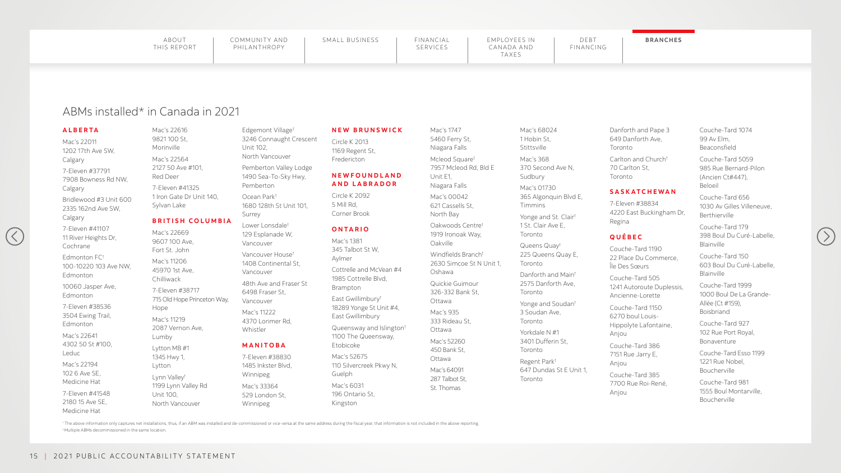| FINANCIAL | EMPLOYEES IN | DFBT      | <b>BRANCHES</b> |
|-----------|--------------|-----------|-----------------|
| SERVICES  | CANADA AND   | FINANCING |                 |
|           | <b>TAXES</b> |           |                 |

### ABMs installed\* in Canada in 2021

\* The above information only captures net installations, thus, if an ABM was installed and de-commissioned or vice-versa at the same address during the fiscal year, that information is not included in the above reporting. † Multiple ABMs decommissioned in the same location.

#### **ALBERTA**

Mac's 22011 1202 17th Ave SW, Calgary

7-Eleven #37791 7908 Bowness Rd NW, Calgary

Bridlewood #3 Unit 600 2335 162nd Ave SW, Calgary

7-Eleven #41107 11 River Heights Dr, Cochrane

 $(\langle$ 

Edmonton FC† 100-10220 103 Ave NW, Edmonton

10060 Jasper Ave, Edmonton

7-Eleven #38536 3504 Ewing Trail, Edmonton

Mac's 22641 4302 50 St #100, Leduc

Mac's 22194 102 6 Ave SE, Medicine Hat

7-Eleven #41548 2180 15 Ave SE, Medicine Hat

Mac's 22616 9821 100 St, Morinville

Mac's 22564 2127 50 Ave #101, Red Deer

> Cottrelle and McVear 1985 Cottrelle Blvd, Brampton

7-Eleven #41325 1 Iron Gate Dr Unit 140, Sylvan Lake

#### **BRITISH COLUMBIA**

Queensway and Islin 1100 The Queensway Etobicoke

Mac's 22669 9607 100 Ave, Fort St. John

Mac's 11206 45970 1st Ave, Chilliwack

7-Eleven #38717 715 Old Hope Princeton Way, Hope

Mac's 11219 2087 Vernon Ave, Lumby

Lytton MB #1 1345 Hwy 1, Lytton

Lynn Valley† 1199 Lynn Valley Rd Unit 100, North Vancouver

Edgemont Village† 3246 Connaught Crescent Unit 102, North Vancouver

Pemberton Valley Lodge 1490 Sea-To-Sky Hwy, Pemberton

Ocean Park† 1680 128th St Unit 101, Surrey

Lower Lonsdale† 129 Esplanade W, Vancouver

Vancouver House† 1408 Continental St, Vancouver

48th Ave and Fraser St 6498 Fraser St, Vancouver

Mac's 11222 4370 Lorimer Rd, Whistler

#### **MANITOBA**

7-Eleven #38830 1485 Inkster Blvd, Winnipeg

Mac's 33364 529 London St, Winnipeg

#### **NEW BRUNSW**

Circle K 2013 1169 Regent St, Fredericton

#### **NEWFOUNDLA AND LABRADO**

Circle K 2092 5 Mill Rd, Corner Brook

#### **ONTARIO**

Mac's 1381 345 Talbot St W, Aylmer

East Gwillimbury† 18289 Yonge St Unit East Gwillimbury

Mac's 52675 110 Silvercreek Pkwy Guelph

Mac's 6031 196 Ontario St, Kingston

| ICK           | Mac's 1747<br>5460 Ferry St,<br>Niagara Falls                              | Mac's<br>1 Hob<br><b>Stitts</b> |
|---------------|----------------------------------------------------------------------------|---------------------------------|
| <b>ND</b>     | Mcleod Square <sup>t</sup><br>7957 Mcleod Rd, Bld E<br>Unit E1,            | Mac's<br>370 S<br>Sudb          |
| ) R           | Niagara Falls<br>Mac's 00042<br>621 Cassells St,                           | Mac's<br>365 A<br>Timm          |
|               | North Bay<br>Oakwoods Centre <sup>t</sup><br>1919 Ironoak Way,<br>Oakville | Yonge<br>1 St. C<br>Toron       |
| n #4          | Windfields Branch <sup>t</sup><br>2630 Simcoe St N Unit 1,<br>Oshawa       | Quee<br>225 G<br>Toron<br>Danfo |
|               | Quickie Guimour<br>326-332 Bank St,                                        | 2575<br>Toron                   |
| #4,<br>1gton† | Ottawa<br>Mac's 935<br>333 Rideau St,                                      | Yonge<br>3 Sou<br>Toron         |
| у,            | Ottawa<br>Mac's 52260<br>450 Bank St,                                      | Yorkd<br>3401<br>Toron          |
| $\mathbb N,$  | Ottawa<br>Mac's 64091<br>287 Talbot St,<br>St. Thomas                      | Reger<br>647 D<br>Toron         |

68024 oin St, sville 368 Second Ave N, oury 01730 Algonquin Blvd E, nins e and St. Clair<sup>†</sup> Clair Ave E, nto  $ens$  Quay $^{\dagger}$ Queens Quay E, nto  $\mathsf{orth}$  and Main $^\dagger$ Danforth Ave, nto  $xe$  and Soudan<sup>†</sup> dan Ave, nto  $Table N #1$ Dufferin St, nto nt Park<sup>†</sup> 647 Dundas St E Unit 1, hto

Danforth and Pape 3 649 Danforth Ave, Toronto

Carlton and Church † 70 Carlton St, Toronto

#### **SAS K ATCHE WA N**

7-Eleven #38834 4220 East Buckingham Dr, Regina

#### **QUÉBEC**

Couche-Tard 1190 22 Place Du Commerce, Île Des Sœurs

Couche-Tard 505 1241 Autoroute Duplessis, Ancienne-Lorette

Couche-Tard 1150 6270 boul Louis-Hippolyte Lafontaine, Anjou

Couche-Tard 386 7151 Rue Jarry E, Anjou

Couche-Tard 385 7700 Rue Roi-René, Anjou

Couche-Tard 1074 99 Av Elm, Beaconsfield

Couche-Tard 5059 985 Rue Bernard-Pilon (Ancien Ct#447), Beloeil

Couche-Tard 656 1030 Av Gilles Villeneuve, Berthierville

Couche-Tard 179 398 Boul Du Curé-Labelle, Blainville

Couche-Tard 150 603 Boul Du Curé-Labelle, Blainville

Couche-Tard 1999 1000 Boul De La Grande-Allée (Ct #159), Boisbriand

Couche-Tard 927 102 Rue Port Royal, Bonaventure

Couche-Tard Esso 1199 1221 Rue Nobel, Boucherville

Couche-Tard 981 1555 Boul Montarville, Boucherville

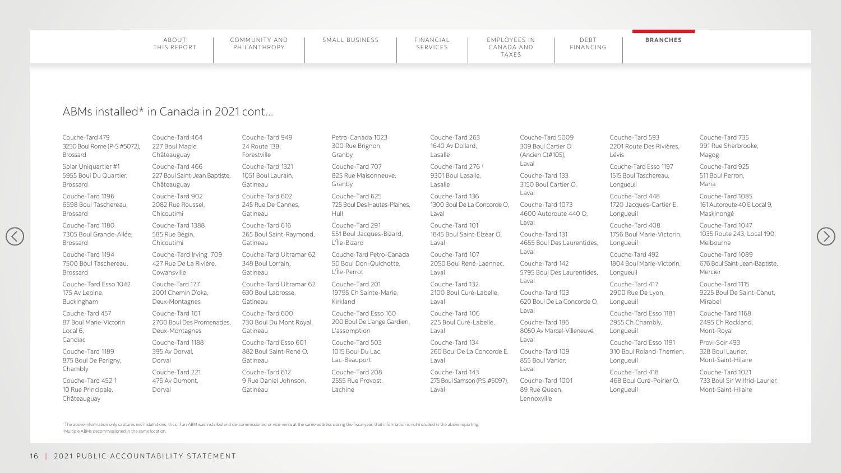| FINANCIAL | EMPLOYEES IN | DEBI      | <b>BRANCHES</b> |
|-----------|--------------|-----------|-----------------|
| SERVICES  | CANADA AND   | FINANCING |                 |
|           | TAXES        |           |                 |

### ABMs installed\* in Canada in 2021 cont...

\* The above information only captures net installations, thus, if an ABM was installed and de-commissioned or vice-versa at the same address during the fiscal year, that information is not included in the above reporting. † Multiple ABMs decommissioned in the same location.

Couche-Tard 479 3250 Boul Rome (P-S #5072), Brossard

Solar Uniquartier #1 5955 Boul Du Quartier, Brossard

Couche-Tard 1196 6598 Boul Taschereau, Brossard

Couche-Tard 1180 7305 Boul Grande-Allée, Brossard

 $(\langle$ 

Couche-Tard 1194 7500 Boul Taschereau, Brossard

Couche-Tard Esso 1042 175 Av Lepine, Buckingham

Couche-Tard 457 87 Boul Marie-Victorin Local 6, Candiac

Couche-Tard 1189 875 Boul De Perigny, Chambly

Couche-Tard 452 1 10 Rue Principale, Châteauguay

Couche-Tard 464 227 Boul Maple, Châteauguay

Couche-Tard 466 227 Boul Saint-Jean Baptiste, Châteauguay

> Couche-Tard Petro-C 50 Boul Don-Quicho L'Île-Perrot

Couche-Tard 902 2082 Rue Roussel, Chicoutimi

> Couche-Tard Esso 1 200 Boul De L'ange G L'assomption

Couche-Tard 1388 585 Rue Bégin, Chicoutimi

Couche-Tard Irving 709 427 Rue De La Rivière, Cowansville

Couche-Tard 177 2001 Chemin D'oka, Deux-Montagnes

Couche-Tard 161 2700 Boul Des Promenades, Deux-Montagnes

Couche-Tard 1188 395 Av Dorval, Dorval

Couche-Tard 221 475 Av Dumont, Dorval

Couche-Tard 949 24 Route 138, Forestville

Couche-Tard 1321 1051 Boul Laurain, Gatineau

Couche-Tard 602 245 Rue De Cannes, Gatineau

Couche-Tard 616 265 Boul Saint-Raymond, Gatineau

Couche-Tard Ultramar 62 348 Boul Lorrain, Gatineau

Couche-Tard Ultramar 62 630 Boul Labrosse, Gatineau

Couche-Tard 600 730 Boul Du Mont Royal, Gatineau

Couche-Tard Esso 601 882 Boul Saint-René O, Gatineau

Couche-Tard 612 9 Rue Daniel Johnson, Gatineau

Petro-Canada 1023 300 Rue Brignon, Granby

Couche-Tard 707 825 Rue Maisonneuv Granby

Couche-Tard 625 725 Boul Des Hautes-Hull

Couche-Tard 291 551 Boul Jacques-Biz L'Île-Bizard

Couche-Tard 201 19795 Ch Sainte-Mar Kirkland

Couche-Tard 503 1015 Boul Du Lac, Lac-Beauport

Couche-Tard 208 2555 Rue Provost, Lachine

|                 | Couche-Tard 263<br>1640 Av Dollard,<br>Lasalle                | Couche-Tard 5009<br>309 Boul Cartier O<br>(Ancien Ct#105),      |
|-----------------|---------------------------------------------------------------|-----------------------------------------------------------------|
| ve,             | Couche-Tard 276 <sup>+</sup><br>9301 Boul Lasalle,<br>Lasalle | Laval<br>Couche-Tard 133<br>3150 Boul Cartier O,                |
| -Plaines,       | Couche-Tard 136<br>1300 Boul De La Concorde O,<br>Laval       | Laval<br>Couche-Tard 1073<br>4600 Autoroute 440 O,              |
| zard,           | Couche-Tard 101<br>1845 Boul Saint-Elzéar O,<br>Laval         | Laval<br>Couche-Tard 131<br>4655 Boul Des Laurentides,          |
| Canada<br>otte, | Couche-Tard 107<br>2050 Boul René-Laennec,<br>Laval           | Laval<br>Couche-Tard 142<br>5795 Boul Des Laurentides,<br>Laval |
| irie,           | Couche-Tard 132<br>2100 Boul Curé-Labelle,<br>Laval           | Couche-Tard 103<br>620 Boul De La Concorde O,                   |
| 60<br>Gardien,  | Couche-Tard 106<br>225 Boul Curé-Labelle,<br>Laval            | Laval<br>Couche-Tard 186<br>8050 Av Marcel-Villeneuve,<br>Laval |
|                 | Couche-Tard 134<br>260 Boul De La Concorde E,<br>Laval        | Couche-Tard 109<br>855 Boul Vanier,<br>Laval                    |
|                 | Couche-Tard 143<br>275 Boul Samson (P.S. #5097),<br>Laval     | Couche-Tard 1001<br>89 Rue Queen,<br>Lennoxville                |

Couche-Tard 593 2201 Route Des Rivières, Lévis

Couche-Tard Esso 1197 1515 Boul Taschereau, Longueuil

Couche-Tard 448 1720 Jacques-Cartier E, Longueuil

Couche-Tard 408 1756 Boul Marie-Victorin, Longueuil

Couche-Tard 492 1804 Boul Marie-Victorin, Longueuil

Couche-Tard 417 2900 Rue De Lyon, Longueuil

Couche-Tard Esso 1181 2955 Ch Chambly, Longueuil

Couche-Tard Esso 1191 310 Boul Roland-Therrien, Longueuil

Couche-Tard 418 468 Boul Curé-Poirier O, Longueuil

Couche-Tard 735 991 Rue Sherbrooke, Magog

Couche-Tard 925 511 Boul Perron, Maria

Couche-Tard 1085 161 Autoroute 40 E Local 9, Maskinongé

Couche-Tard 1047 1035 Route 243, Local 190, Melbourne

Couche-Tard 1089 676 Boul Saint-Jean-Baptiste, Mercier

Couche-Tard 1115 9225 Boul De Saint-Canut, Mirabel

Couche-Tard 1168 2495 Ch Rockland, Mont-Royal

Provi-Soir 493 328 Boul Laurier, Mont-Saint-Hilaire

Couche-Tard 1021 733 Boul Sir Wilfrid-Laurier, Mont-Saint-Hilaire

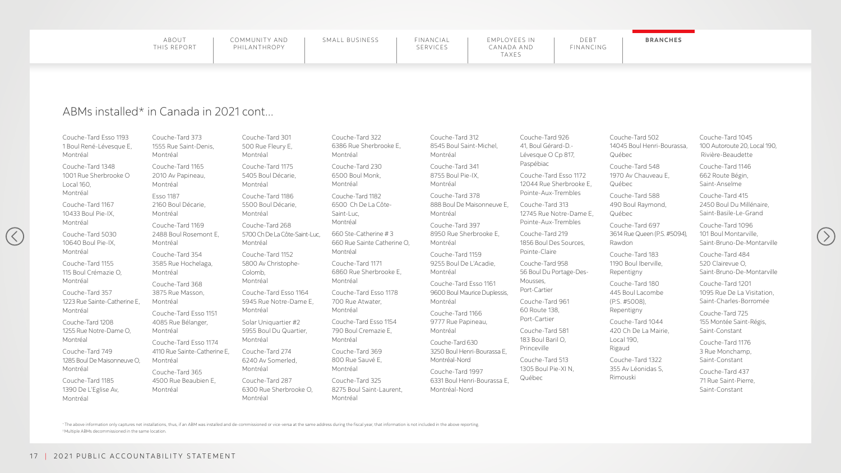| FINANCIAL | EMPLOYEES IN | DEBT      | <b>BRANCHES</b> |
|-----------|--------------|-----------|-----------------|
| SERVICES  | CANADA AND   | FINANCING |                 |
|           | <b>TAXES</b> |           |                 |

### ABMs installed\* in Canada in 2021 cont...

\* The above information only captures net installations, thus, if an ABM was installed and de-commissioned or vice-versa at the same address during the fiscal year, that information is not included in the above reporting. † Multiple ABMs decommissioned in the same location.

Couche-Tard Esso 1193 1 Boul René-Lévesque E, Montréal

Couche-Tard 1348 1001 Rue Sherbrooke O Local 160, Montréal

Couche-Tard 1167 10433 Boul Pie-IX, Montréal

Couche-Tard 5030 10640 Boul Pie-IX, Montréal

 $(\langle$ 

Couche-Tard 1155 115 Boul Crémazie O, Montréal

Couche-Tard 357 1223 Rue Sainte-Catherine E, Montréal

Couche-Tard 1208 1255 Rue Notre-Dame O, Montréal

Couche-Tard 749 1285 Boul De Maisonneuve O, Montréal

Couche-Tard 1185 1390 De L'Eglise Av, Montréal

Couche-Tard 373 1555 Rue Saint-Denis, Montréal

Couche-Tard 1165 2010 Av Papineau, Montréal

Esso 1187 2160 Boul Décarie, Montréal

> Couche-Tard Esso 117 700 Rue Atwater, Montréal

Couche-Tard 1169 2488 Boul Rosemont E, Montréal

Couche-Tard 354 3585 Rue Hochelaga, Montréal

Couche-Tard 368 3875 Rue Masson, Montréal

Couche-Tard Esso 1151 4085 Rue Bélanger, Montréal

Couche-Tard Esso 1174 4110 Rue Sainte-Catherine E, Montréal

Couche-Tard 365 4500 Rue Beaubien E, Montréal

Couche-Tard 301 500 Rue Fleury E, Montréal

Couche-Tard 1175 5405 Boul Décarie, Montréal

Couche-Tard 1186 5500 Boul Décarie, Montréal

Couche-Tard 268 5700 Ch De La Côte-Saint-Luc, Montréal

Couche-Tard 1152 5800 Av Christophe-Colomb, Montréal

Couche-Tard Esso 1164 5945 Rue Notre-Dame E, Montréal

Solar Uniquartier #2 5955 Boul Du Quartier, Montréal

ard 183 Iberville, Repentigny

ard 180 acombe 8),

Couche-Tard 274 6240 Av Somerled, Montréal

ard 1044 La Mairie, Local 190,

ard 1322 onidas S,

Couche-Tard 287 6300 Rue Sherbrooke O, Montréal

Couche-Tard 322 6386 Rue Sherbrooke Montréal

Couche-Tard 230 6500 Boul Monk, Montréal

Couche-Tard 1182 6500 Ch De La Côte-Saint-Luc, Montréal

660 Ste-Catherine # 3 660 Rue Sainte Cather Montréal

Couche-Tard 1171 6860 Rue Sherbrooke Montréal

Couche-Tard Esso 1154 790 Boul Cremazie E, Montréal

Couche-Tard 369 800 Rue Sauvé E, Montréal

Couche-Tard 325 8275 Boul Saint-Laure Montréal

| эΕ,     | Couche-Tard 312                                                                   | Couche-Tard 926                                  | Couche-Tar                            |
|---------|-----------------------------------------------------------------------------------|--------------------------------------------------|---------------------------------------|
|         | 8545 Boul Saint-Michel,                                                           | 41, Boul Gérard-D.-                              | 14045 Boul                            |
|         | Montréal                                                                          | Lévesque O Cp 817,                               | Québec                                |
|         | Couche-Tard 341                                                                   | Paspébiac                                        | Couche-Tar                            |
|         | 8755 Boul Pie-IX,                                                                 | Couche-Tard Esso 1172                            | 1970 Av Ch                            |
|         | Montréal                                                                          | 12044 Rue Sherbrooke E,                          | Québec                                |
|         | Couche-Tard 378                                                                   | Pointe-Aux-Trembles                              | Couche-Tar                            |
|         | 888 Boul De Maisonneuve E,                                                        | Couche-Tard 313                                  | 490 Boul Ra                           |
|         | Montréal                                                                          | 12745 Rue Notre-Dame E,                          | Québec                                |
| rine O, | Couche-Tard 397                                                                   | Pointe-Aux-Trembles                              | Couche-Tar                            |
|         | 8950 Rue Sherbrooke E,                                                            | Couche-Tard 219                                  | <b>3614 Rue Qu</b>                    |
|         | Montréal                                                                          | 1856 Boul Des Sources,                           | Rawdon                                |
| еE,     | Couche-Tard 1159                                                                  | Pointe-Claire                                    | Couche-Tar                            |
|         | 9255 Boul De L'Acadie,                                                            | Couche-Tard 958                                  | 1190 Boul Ik                          |
|         | Montréal                                                                          | 56 Boul Du Portage-Des-                          | Repentigny                            |
| 78      | Couche-Tard Esso 1161                                                             | Mousses,                                         | Couche-Tar                            |
|         | 9600 Boul Maurice Duplessis,                                                      | Port-Cartier                                     | 445 Boul La                           |
|         | Montréal                                                                          | Couche-Tard 961                                  | (P.S. #5008                           |
| ,4      | Couche-Tard 1166                                                                  | 60 Route 138,                                    | Repentigny                            |
|         | 9777 Rue Papineau,                                                                | Port-Cartier                                     | Couche-Tar                            |
|         | Montréal                                                                          | Couche-Tard 581                                  | 420 Ch De                             |
|         | Couche-Tard 630                                                                   | 183 Boul Baril O,                                | Local 190,                            |
|         | 3250 Boul Henri-Bourassa E,                                                       | Princeville                                      | Rigaud                                |
| ent,    | Montréal-Nord<br>Couche-Tard 1997<br>6331 Boul Henri-Bourassa E,<br>Montréal-Nord | Couche-Tard 513<br>1305 Boul Pie-XI N,<br>Québec | Couche-Tar<br>355 Av Léor<br>Rimouski |

ard  $502$ Il Henri-Bourassa,

ard 548 hauveau E,

ard 588 Raymond,

ard 697 )ueen (P.S. #5094), Couche-Tard 1045 100 Autoroute 20, Local 190, Rivière-Beaudette

Couche-Tard 1146 662 Route Bégin, Saint-Anselme

Couche-Tard 415 2450 Boul Du Millénaire, Saint-Basile-Le-Grand

Couche-Tard 1096 101 Boul Montarville, Saint-Bruno-De-Montarville

Couche-Tard 484 520 Clairevue O, Saint-Bruno-De-Montarville

Couche-Tard 1201 1095 Rue De La Visitation, Saint-Charles-Borromée

Couche-Tard 725 155 Montée Saint-Régis, Saint-Constant

Couche-Tard 1176 3 Rue Monchamp, Saint-Constant

Couche-Tard 437 71 Rue Saint-Pierre, Saint-Constant

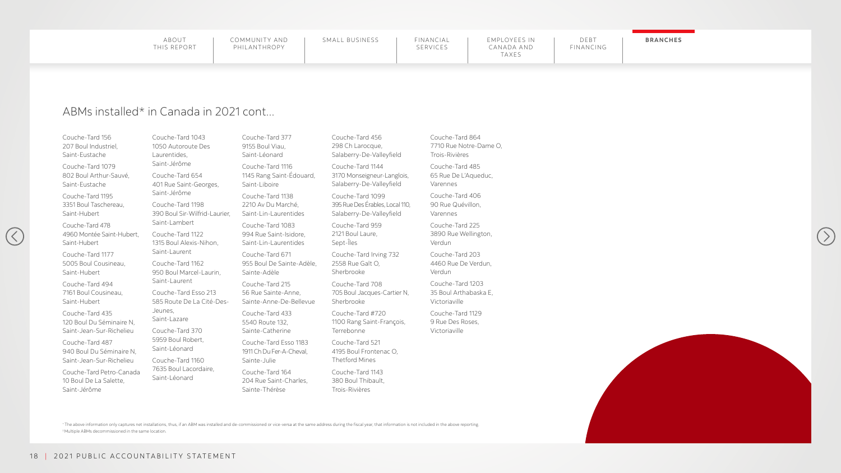|--|

### ABMs installed\* in Canada in 2021 cont...

\* The above information only captures net installations, thus, if an ABM was installed and de-commissioned or vice-versa at the same address during the fiscal year, that information is not included in the above reporting. † Multiple ABMs decommissioned in the same location.

Couche-Tard 156 207 Boul Industriel, Saint-Eustache

Couche-Tard 1079 802 Boul Arthur-Sauvé, Saint-Eustache

Couche-Tard 1195 3351 Boul Taschereau, Saint-Hubert

 $\left(\left\langle \right\rangle \right)$ 

Couche-Tard 478 4960 Montée Saint-Hubert, Saint-Hubert

Couche-Tard 1177 5005 Boul Cousineau, Saint-Hubert

Couche-Tard 494 7161 Boul Cousineau, Saint-Hubert

Couche-Tard 435 120 Boul Du Séminaire N, Saint-Jean-Sur-Richelieu

Couche-Tard 487 940 Boul Du Séminaire N, Saint-Jean-Sur-Richelieu

Couche-Tard Petro-Canada 10 Boul De La Salette, Saint-Jérôme

Couche-Tard 456 298 Ch Larocque, Salaberry-De-Valleyfiel

Couche-Tard 1144 3170 Monseigneur-Lang Salaberry-De-Valleyfiel

Couche-Tard 1043 1050 Autoroute Des Laurentides, Saint-Jérôme

> Couche-Tard 1099 395 Rue Des Érables, Loca Salaberry-De-Valleyfiel

Couche-Tard 654 401 Rue Saint-Georges, Saint-Jérôme

Couche-Tard 1198 390 Boul Sir-Wilfrid-Laurier, Saint-Lambert

Couche-Tard 1122 1315 Boul Alexis-Nihon, Saint-Laurent

Couche-Tard 1162 950 Boul Marcel-Laurin, Saint-Laurent

Couche-Tard Esso 213 585 Route De La Cité-Des-Jeunes, Saint-Lazare

Couche-Tard 370 5959 Boul Robert, Saint-Léonard

Couche-Tard 1160 7635 Boul Lacordaire, Saint-Léonard

Couche-Tard 377 9155 Boul Viau, Saint-Léonard

Couche-Tard 1116 1145 Rang Saint-Édouard, Saint-Liboire

Couche-Tard 1138 2210 Av Du Marché, Saint-Lin-Laurentides

Couche-Tard 1083 994 Rue Saint-Isidore, Saint-Lin-Laurentides

Couche-Tard 671 955 Boul De Sainte-Adèle, Sainte-Adèle

Couche-Tard 215 56 Rue Sainte-Anne, Sainte-Anne-De-Bellevue

Couche-Tard 433 5540 Route 132, Sainte-Catherine

Couche-Tard Esso 1183 1911 Ch Du Fer-A-Cheval, Sainte-Julie

Couche-Tard 164 204 Rue Saint-Charles, Sainte-Thérèse

Couche-Tard 959 2121 Boul Laure, Sept-Îles

Couche-Tard Irving 732 2558 Rue Galt O, Sherbrooke

Couche-Tard 708 705 Boul Jacques-Cartie Sherbrooke

Couche-Tard #720 1100 Rang Saint-Franço Terrebonne

Couche-Tard 521 4195 Boul Frontenac O, Thetford Mines

Couche-Tard 1143 380 Boul Thibault, Trois-Rivières

| ld             | Couche-Tard 864<br>7710 Rue Notre-Dame O,<br>Trois-Rivières |
|----------------|-------------------------------------------------------------|
| glois,<br>ld   | Couche-Tard 485<br>65 Rue De L'Aqueduc,<br>Varennes         |
| al 110,<br>ld  | Couche-Tard 406<br>90 Rue Quévillon,<br>Varennes            |
|                | Couche-Tard 225<br>3890 Rue Wellington,<br>Verdun           |
| $\overline{2}$ | Couche-Tard 203<br>4460 Rue De Verdun,<br>Verdun            |
| er N.          | Couche-Tard 1203<br>35 Boul Arthabaska E,<br>Victoriaville  |
| ois,           | Couche-Tard 1129<br>9 Rue Des Roses,<br>Victoriaville       |
|                |                                                             |







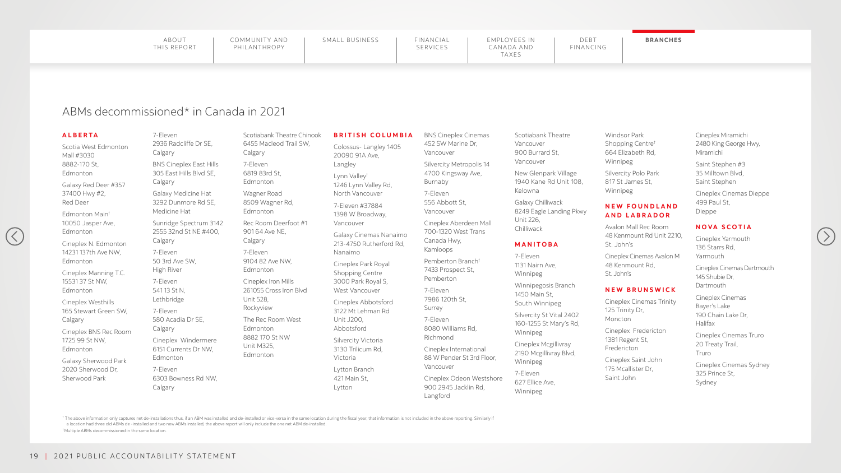## SERVICES

#### **BRANCHES**

## ABMs decommissioned\* in Canada in 2021

#### **ALBERTA**

Scotia West Edmonton Mall #3030 8882-170 St, Edmonton

Galaxy Red Deer #357 37400 Hwy #2, Red Deer

Edmonton Main† 10050 Jasper Ave, Edmonton

 $(\langle \rangle$ 

Cineplex N. Edmonton 14231 137th Ave NW, Edmonton

Cineplex Manning T.C. 15531 37 St NW, Edmonton

Cineplex Westhills 165 Stewart Green SW, Calgary

Cineplex BNS Rec Room 1725 99 St NW, Edmonton

Galaxy Sherwood Park 2020 Sherwood Dr, Sherwood Park

7-Eleven 2936 Radcliffe Dr SE, Calgary

BNS Cineplex East Hills 305 East Hills Blvd SE, Calgary

Galaxy Medicine Hat 3292 Dunmore Rd SE, Medicine Hat

Sunridge Spectrum 3142 2555 32nd St NE #400, Calgary

7-Eleven 50 3rd Ave SW, High River

7-Eleven 541 13 St N, Lethbridge

7-Eleven 580 Acadia Dr SE, Calgary

Cineplex Windermere 6151 Currents Dr NW, Edmonton

7-Eleven 6303 Bowness Rd NW, Calgary

Scotiabank Theatre Chinook 6455 Macleod Trail SW, Calgary

7-Eleven 6819 83rd St, Edmonton

Wagner Road 8509 Wagner Rd, Edmonton

Rec Room Deerfoot #1 901 64 Ave NE, Calgary

7-Eleven 9104 82 Ave NW, Edmonton

Cineplex Iron Mills 261055 Cross Iron Blvd Unit 528, Rockyview

The Rec Room West Edmonton 8882 170 St NW Unit M325, Edmonton

#### **BRITISH COLUMBIA**

Colossus- Langley 1405 20090 91A Ave, Langley

Lynn Valley† 1246 Lynn Valley Rd, North Vancouver

7-Eleven #37884 1398 W Broadway, Vancouver

Galaxy Cinemas Nanaimo 213-4750 Rutherford Rd, Nanaimo

Cineplex Park Royal Shopping Centre 3000 Park Royal S, West Vancouver

Cineplex Cinemas Dartmouth 145 Shubie Dr, **Dartmouth** 

Cineplex Abbotsford 3122 Mt Lehman Rd Unit J200, Abbotsford

Silvercity Victoria 3130 Trilicum Rd, Victoria

Lytton Branch 421 Main St, Lytton

BNS Cineplex Cinemas

452 SW Marine Dr, Vancouver

> Silvercity Metropolis 14 4700 Kingsway Ave, Burnaby

7-Eleven 556 Abbott St, Vancouver

\* The above information only captures net de-installations thus, if an ABM was installed and de-installed or vice-versa in the same location during the fiscal year, that information is not included in the above reporting. a location had three old ABMs de -installed and two new ABMs installed, the above report will only include the one net ABM de-installed. † Multiple ABMs decommissioned in the same location.

Cineplex Aberdeen Mall 700-1320 West Trans Canada Hwy, Kamloops

Pemberton Branch† 7433 Prospect St, Pemberton

7-Eleven 7986 120th St, Surrey

7-Eleven 8080 Williams Rd, Richmond

Cineplex International 88 W Pender St 3rd Floor, Vancouver

Cineplex Odeon Westshore 900 2945 Jacklin Rd, Langford

Scotiabank Theatre Vancouver 900 Burrard St, Vancouver

New Glenpark Village 1940 Kane Rd Unit 108, Kelowna

Galaxy Chilliwack 8249 Eagle Landing Pkwy Unit 226, Chilliwack

#### **MANITOBA**

7-Eleven 1131 Nairn Ave, Winnipeg

Winnipegosis Branch 1450 Main St, South Winnipeg

Silvercity St Vital 2402 160-1255 St Mary's Rd, Winnipeg

Cineplex Mcgillivray 2190 Mcgillivray Blvd, Winnipeg

7-Eleven 627 Ellice Ave, Winnipeg

Windsor Park Shopping Centre† 664 Elizabeth Rd, Winnipeg

Silvercity Polo Park 817 St James St, Winnipeg

#### **N E W F O U N D L A N D AND LABRADOR**

Avalon Mall Rec Room 48 Kenmount Rd Unit 2210, St. John's

Cineplex Cinemas Avalon M 48 Kenmount Rd, St. John's

#### **NEW BRUNSWICK**

Cineplex Cinemas Trinity 125 Trinity Dr, Moncton

Cineplex Fredericton 1381 Regent St, Fredericton

Cineplex Saint John 175 Mcallister Dr, Saint John

Cineplex Miramichi 2480 King George Hwy, Miramichi

Saint Stephen #3 35 Milltown Blvd, Saint Stephen

Cineplex Cinemas Dieppe 499 Paul St, Dieppe

#### **NOVA SCOTIA**

Cineplex Yarmouth 136 Starrs Rd, Yarmouth

Cineplex Cinemas Bayer's Lake 190 Chain Lake Dr, Halifax

Cineplex Cinemas Truro 20 Treaty Trail, Truro

Cineplex Cinemas Sydney 325 Prince St, Sydney

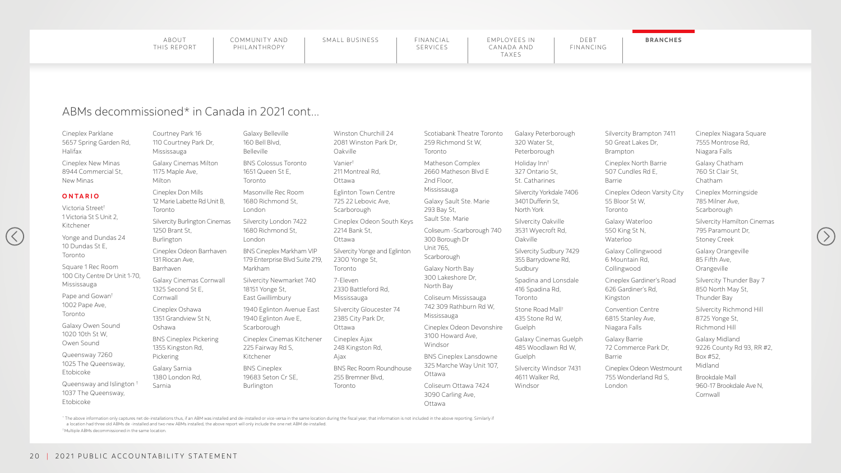| FINANCIAL<br>SERVICES | EMPLOYEES IN<br>CANADA AND<br>TAXES | DERT<br>FINANCING | <b>BRANCHES</b> |
|-----------------------|-------------------------------------|-------------------|-----------------|
|                       |                                     |                   |                 |

## ABMs decommissioned\* in Canada in 2021 cont...

Cineplex Parklane 5657 Spring Garden Rd, Halifax

Cineplex New Minas 8944 Commercial St, New Minas

#### **ONTARIO**

 $(\langle$ 

- Victoria Street† 1 Victoria St S Unit 2, Kitchener
- Yonge and Dundas 24 10 Dundas St E, Toronto

Square 1 Rec Room 100 City Centre Dr Unit 1-70, Mississauga

Pape and Gowan† 1002 Pape Ave,

Toronto Galaxy Owen Sound

1020 10th St W, Owen Sound

Queensway 7260 1025 The Queensway, Etobicoke

Queensway and Islington † 1037 The Queensway, Etobicoke

Courtney Park 16 110 Courtney Park Dr, Mississauga

> 1940 Eglinton Avenue East 1940 Eglinton Ave E, **Scarborough**

- Galaxy Cinemas Milton 1175 Maple Ave, Milton
- Cineplex Don Mills 12 Marie Labette Rd Unit B, Toronto

Silvercity Burlington Cinemas 1250 Brant St, Burlington

Cineplex Odeon Soutl 2214 Bank St, Ottawa

Cineplex Odeon Barrhaven 131 Riocan Ave, Barrhaven

Silvercity Yonge and Eg 2300 Yonge St, Toronto

Galaxy Cinemas Cornwall 1325 Second St E, Cornwall

> Silvercity Gloucester 2385 City Park Dr, Ottawa

**BNS Rec Room Roundh** 255 Bremner Blvd, Toronto

Cineplex Oshawa 1351 Grandview St N, Oshawa

BNS Cineplex Pickering 1355 Kingston Rd, Pickering

Galaxy Sarnia 1380 London Rd, Sarnia

Galaxy Belleville 160 Bell Blvd, Belleville

BNS Colossus Toronto 1651 Queen St E, Toronto

Masonville Rec Room 1680 Richmond St, London

Silvercity London 7422 1680 Richmond St, London

BNS Cineplex Markham VIP 179 Enterprise Blvd Suite 219, Markham

Silvercity Newmarket 740 18151 Yonge St, East Gwillimbury

Cineplex Cinemas Kitchener 225 Fairway Rd S, Kitchener

BNS Cineplex 19683 Seton Cr SE, Burlington

Winston Churchill 24 2081 Winston Park Dr, Oakville

Vanier† 211 Montreal Rd, Ottawa

Eglinton Town Centre 725 22 Lebovic Ave, Scarborough

7-Eleven 2330 Battleford Rd, Mississauga

Cineplex Ajax 248 Kingston Rd, Ajax

\* The above information only captures net de-installations thus, if an ABM was installed and de-installed or vice-versa in the same location during the fiscal year, that information is not included in the above reporting. a location had three old ABMs de -installed and two new ABMs installed, the above report will only include the one net ABM de-installed. † Multiple ABMs decommissioned in the same location.

|         | Scotiabank Theatre Toronto<br>259 Richmond St W,<br>Toronto      | Galaxy Peterborough<br>320 Water St,<br>Peterborough          |
|---------|------------------------------------------------------------------|---------------------------------------------------------------|
|         | Matheson Complex<br>2660 Matheson Blvd E<br>2nd Floor,           | Holiday Inn <sup>t</sup><br>327 Ontario St,<br>St. Catharines |
|         | Mississauga<br>Galaxy Sault Ste. Marie<br>293 Bay St,            | Silvercity Yorkdale 7406<br>3401 Dufferin St,<br>North York   |
| h Keys  | Sault Ste. Marie<br>Coliseum - Scarborough 740<br>300 Borough Dr | Silvercity Oakville<br>3531 Wyecroft Rd,<br>Oakville          |
| slinton | Unit 765,<br>Scarborough<br>Galaxy North Bay                     | Silvercity Sudbury 7429<br>355 Barrydowne Rd,<br>Sudbury      |
|         | 300 Lakeshore Dr,<br>North Bay                                   | Spadina and Lonsdale<br>416 Spadina Rd,                       |
| 74      | Coliseum Mississauga<br>742 309 Rathburn Rd W,<br>Mississauga    | Toronto<br>Stone Road Mall <sup>t</sup><br>435 Stone Rd W,    |
|         | Cineplex Odeon Devonshire<br>3100 Howard Ave,<br>Windsor         | Guelph<br>Galaxy Cinemas Guelph<br>485 Woodlawn Rd W,         |
| house   | <b>BNS Cineplex Lansdowne</b><br>325 Marche Way Unit 107,        | Guelph                                                        |
|         | Ottawa<br>Coliseum Ottawa 7424<br>3090 Carling Ave,              | Silvercity Windsor 7431<br>4611 Walker Rd,<br>Windsor         |
|         | Ottawa                                                           |                                                               |

Silvercity Brampton 7411 50 Great Lakes Dr, Brampton

Cineplex North Barrie 507 Cundles Rd E, Barrie

Cineplex Odeon Varsity City 55 Bloor St W, Toronto

Galaxy Waterloo 550 King St N, Waterloo

Galaxy Collingwood 6 Mountain Rd, Collingwood

Cineplex Gardiner's Road 626 Gardiner's Rd, Kingston

Convention Centre 6815 Stanley Ave, Niagara Falls

Galaxy Barrie 72 Commerce Park Dr, Barrie

Cineplex Odeon Westmount 755 Wonderland Rd S, London

Cineplex Niagara Square 7555 Montrose Rd, Niagara Falls

Galaxy Chatham 760 St Clair St, Chatham

Cineplex Morningside 785 Milner Ave, Scarborough

Silvercity Hamilton Cinemas 795 Paramount Dr, Stoney Creek

Galaxy Orangeville 85 Fifth Ave, Orangeville

Silvercity Thunder Bay 7 850 North May St, Thunder Bay

Silvercity Richmond Hill 8725 Yonge St, Richmond Hill

Galaxy Midland 9226 County Rd 93, RR #2, Box #52, Midland

Brookdale Mall 960-17 Brookdale Ave N, Cornwall

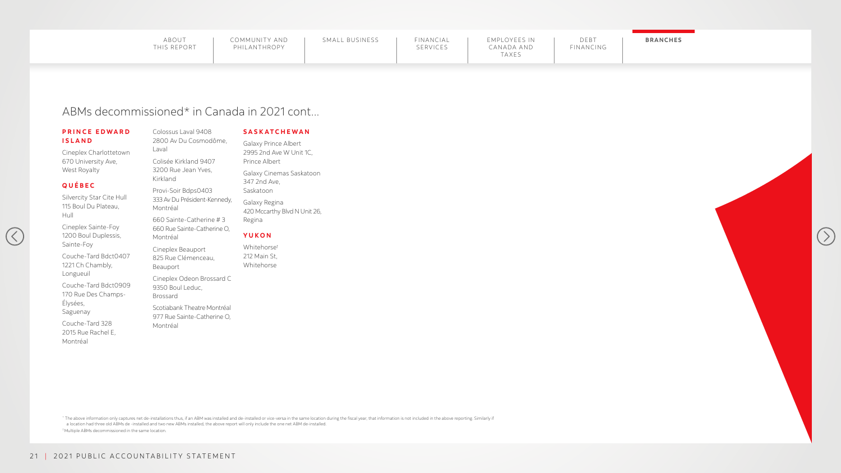## ABMs decommissioned\* in Canada in 2021 cont...

#### **PRINCE EDWARD ISLAND**

|  |  |  |  |  |  |  |  |  |  |  |  |  |  |  |  |  |  |  |  |  |  |  |  |  |  |  |  |  |  |  |  |  |  |  |  |  |  |  |  |  |  |  |  |  | <b>BRANCHES</b> |  |  |  |  |  |  |  |
|--|--|--|--|--|--|--|--|--|--|--|--|--|--|--|--|--|--|--|--|--|--|--|--|--|--|--|--|--|--|--|--|--|--|--|--|--|--|--|--|--|--|--|--|--|-----------------|--|--|--|--|--|--|--|
|  |  |  |  |  |  |  |  |  |  |  |  |  |  |  |  |  |  |  |  |  |  |  |  |  |  |  |  |  |  |  |  |  |  |  |  |  |  |  |  |  |  |  |  |  |                 |  |  |  |  |  |  |  |
|  |  |  |  |  |  |  |  |  |  |  |  |  |  |  |  |  |  |  |  |  |  |  |  |  |  |  |  |  |  |  |  |  |  |  |  |  |  |  |  |  |  |  |  |  |                 |  |  |  |  |  |  |  |
|  |  |  |  |  |  |  |  |  |  |  |  |  |  |  |  |  |  |  |  |  |  |  |  |  |  |  |  |  |  |  |  |  |  |  |  |  |  |  |  |  |  |  |  |  |                 |  |  |  |  |  |  |  |
|  |  |  |  |  |  |  |  |  |  |  |  |  |  |  |  |  |  |  |  |  |  |  |  |  |  |  |  |  |  |  |  |  |  |  |  |  |  |  |  |  |  |  |  |  |                 |  |  |  |  |  |  |  |
|  |  |  |  |  |  |  |  |  |  |  |  |  |  |  |  |  |  |  |  |  |  |  |  |  |  |  |  |  |  |  |  |  |  |  |  |  |  |  |  |  |  |  |  |  |                 |  |  |  |  |  |  |  |
|  |  |  |  |  |  |  |  |  |  |  |  |  |  |  |  |  |  |  |  |  |  |  |  |  |  |  |  |  |  |  |  |  |  |  |  |  |  |  |  |  |  |  |  |  |                 |  |  |  |  |  |  |  |
|  |  |  |  |  |  |  |  |  |  |  |  |  |  |  |  |  |  |  |  |  |  |  |  |  |  |  |  |  |  |  |  |  |  |  |  |  |  |  |  |  |  |  |  |  |                 |  |  |  |  |  |  |  |
|  |  |  |  |  |  |  |  |  |  |  |  |  |  |  |  |  |  |  |  |  |  |  |  |  |  |  |  |  |  |  |  |  |  |  |  |  |  |  |  |  |  |  |  |  |                 |  |  |  |  |  |  |  |
|  |  |  |  |  |  |  |  |  |  |  |  |  |  |  |  |  |  |  |  |  |  |  |  |  |  |  |  |  |  |  |  |  |  |  |  |  |  |  |  |  |  |  |  |  |                 |  |  |  |  |  |  |  |
|  |  |  |  |  |  |  |  |  |  |  |  |  |  |  |  |  |  |  |  |  |  |  |  |  |  |  |  |  |  |  |  |  |  |  |  |  |  |  |  |  |  |  |  |  |                 |  |  |  |  |  |  |  |
|  |  |  |  |  |  |  |  |  |  |  |  |  |  |  |  |  |  |  |  |  |  |  |  |  |  |  |  |  |  |  |  |  |  |  |  |  |  |  |  |  |  |  |  |  |                 |  |  |  |  |  |  |  |
|  |  |  |  |  |  |  |  |  |  |  |  |  |  |  |  |  |  |  |  |  |  |  |  |  |  |  |  |  |  |  |  |  |  |  |  |  |  |  |  |  |  |  |  |  |                 |  |  |  |  |  |  |  |
|  |  |  |  |  |  |  |  |  |  |  |  |  |  |  |  |  |  |  |  |  |  |  |  |  |  |  |  |  |  |  |  |  |  |  |  |  |  |  |  |  |  |  |  |  |                 |  |  |  |  |  |  |  |
|  |  |  |  |  |  |  |  |  |  |  |  |  |  |  |  |  |  |  |  |  |  |  |  |  |  |  |  |  |  |  |  |  |  |  |  |  |  |  |  |  |  |  |  |  |                 |  |  |  |  |  |  |  |
|  |  |  |  |  |  |  |  |  |  |  |  |  |  |  |  |  |  |  |  |  |  |  |  |  |  |  |  |  |  |  |  |  |  |  |  |  |  |  |  |  |  |  |  |  |                 |  |  |  |  |  |  |  |
|  |  |  |  |  |  |  |  |  |  |  |  |  |  |  |  |  |  |  |  |  |  |  |  |  |  |  |  |  |  |  |  |  |  |  |  |  |  |  |  |  |  |  |  |  |                 |  |  |  |  |  |  |  |
|  |  |  |  |  |  |  |  |  |  |  |  |  |  |  |  |  |  |  |  |  |  |  |  |  |  |  |  |  |  |  |  |  |  |  |  |  |  |  |  |  |  |  |  |  |                 |  |  |  |  |  |  |  |
|  |  |  |  |  |  |  |  |  |  |  |  |  |  |  |  |  |  |  |  |  |  |  |  |  |  |  |  |  |  |  |  |  |  |  |  |  |  |  |  |  |  |  |  |  |                 |  |  |  |  |  |  |  |
|  |  |  |  |  |  |  |  |  |  |  |  |  |  |  |  |  |  |  |  |  |  |  |  |  |  |  |  |  |  |  |  |  |  |  |  |  |  |  |  |  |  |  |  |  |                 |  |  |  |  |  |  |  |
|  |  |  |  |  |  |  |  |  |  |  |  |  |  |  |  |  |  |  |  |  |  |  |  |  |  |  |  |  |  |  |  |  |  |  |  |  |  |  |  |  |  |  |  |  |                 |  |  |  |  |  |  |  |
|  |  |  |  |  |  |  |  |  |  |  |  |  |  |  |  |  |  |  |  |  |  |  |  |  |  |  |  |  |  |  |  |  |  |  |  |  |  |  |  |  |  |  |  |  |                 |  |  |  |  |  |  |  |
|  |  |  |  |  |  |  |  |  |  |  |  |  |  |  |  |  |  |  |  |  |  |  |  |  |  |  |  |  |  |  |  |  |  |  |  |  |  |  |  |  |  |  |  |  |                 |  |  |  |  |  |  |  |
|  |  |  |  |  |  |  |  |  |  |  |  |  |  |  |  |  |  |  |  |  |  |  |  |  |  |  |  |  |  |  |  |  |  |  |  |  |  |  |  |  |  |  |  |  |                 |  |  |  |  |  |  |  |
|  |  |  |  |  |  |  |  |  |  |  |  |  |  |  |  |  |  |  |  |  |  |  |  |  |  |  |  |  |  |  |  |  |  |  |  |  |  |  |  |  |  |  |  |  |                 |  |  |  |  |  |  |  |
|  |  |  |  |  |  |  |  |  |  |  |  |  |  |  |  |  |  |  |  |  |  |  |  |  |  |  |  |  |  |  |  |  |  |  |  |  |  |  |  |  |  |  |  |  |                 |  |  |  |  |  |  |  |
|  |  |  |  |  |  |  |  |  |  |  |  |  |  |  |  |  |  |  |  |  |  |  |  |  |  |  |  |  |  |  |  |  |  |  |  |  |  |  |  |  |  |  |  |  |                 |  |  |  |  |  |  |  |
|  |  |  |  |  |  |  |  |  |  |  |  |  |  |  |  |  |  |  |  |  |  |  |  |  |  |  |  |  |  |  |  |  |  |  |  |  |  |  |  |  |  |  |  |  |                 |  |  |  |  |  |  |  |
|  |  |  |  |  |  |  |  |  |  |  |  |  |  |  |  |  |  |  |  |  |  |  |  |  |  |  |  |  |  |  |  |  |  |  |  |  |  |  |  |  |  |  |  |  |                 |  |  |  |  |  |  |  |
|  |  |  |  |  |  |  |  |  |  |  |  |  |  |  |  |  |  |  |  |  |  |  |  |  |  |  |  |  |  |  |  |  |  |  |  |  |  |  |  |  |  |  |  |  |                 |  |  |  |  |  |  |  |
|  |  |  |  |  |  |  |  |  |  |  |  |  |  |  |  |  |  |  |  |  |  |  |  |  |  |  |  |  |  |  |  |  |  |  |  |  |  |  |  |  |  |  |  |  |                 |  |  |  |  |  |  |  |
|  |  |  |  |  |  |  |  |  |  |  |  |  |  |  |  |  |  |  |  |  |  |  |  |  |  |  |  |  |  |  |  |  |  |  |  |  |  |  |  |  |  |  |  |  |                 |  |  |  |  |  |  |  |
|  |  |  |  |  |  |  |  |  |  |  |  |  |  |  |  |  |  |  |  |  |  |  |  |  |  |  |  |  |  |  |  |  |  |  |  |  |  |  |  |  |  |  |  |  |                 |  |  |  |  |  |  |  |
|  |  |  |  |  |  |  |  |  |  |  |  |  |  |  |  |  |  |  |  |  |  |  |  |  |  |  |  |  |  |  |  |  |  |  |  |  |  |  |  |  |  |  |  |  |                 |  |  |  |  |  |  |  |
|  |  |  |  |  |  |  |  |  |  |  |  |  |  |  |  |  |  |  |  |  |  |  |  |  |  |  |  |  |  |  |  |  |  |  |  |  |  |  |  |  |  |  |  |  |                 |  |  |  |  |  |  |  |
|  |  |  |  |  |  |  |  |  |  |  |  |  |  |  |  |  |  |  |  |  |  |  |  |  |  |  |  |  |  |  |  |  |  |  |  |  |  |  |  |  |  |  |  |  |                 |  |  |  |  |  |  |  |
|  |  |  |  |  |  |  |  |  |  |  |  |  |  |  |  |  |  |  |  |  |  |  |  |  |  |  |  |  |  |  |  |  |  |  |  |  |  |  |  |  |  |  |  |  |                 |  |  |  |  |  |  |  |
|  |  |  |  |  |  |  |  |  |  |  |  |  |  |  |  |  |  |  |  |  |  |  |  |  |  |  |  |  |  |  |  |  |  |  |  |  |  |  |  |  |  |  |  |  |                 |  |  |  |  |  |  |  |
|  |  |  |  |  |  |  |  |  |  |  |  |  |  |  |  |  |  |  |  |  |  |  |  |  |  |  |  |  |  |  |  |  |  |  |  |  |  |  |  |  |  |  |  |  |                 |  |  |  |  |  |  |  |
|  |  |  |  |  |  |  |  |  |  |  |  |  |  |  |  |  |  |  |  |  |  |  |  |  |  |  |  |  |  |  |  |  |  |  |  |  |  |  |  |  |  |  |  |  |                 |  |  |  |  |  |  |  |
|  |  |  |  |  |  |  |  |  |  |  |  |  |  |  |  |  |  |  |  |  |  |  |  |  |  |  |  |  |  |  |  |  |  |  |  |  |  |  |  |  |  |  |  |  |                 |  |  |  |  |  |  |  |
|  |  |  |  |  |  |  |  |  |  |  |  |  |  |  |  |  |  |  |  |  |  |  |  |  |  |  |  |  |  |  |  |  |  |  |  |  |  |  |  |  |  |  |  |  |                 |  |  |  |  |  |  |  |





Cineplex Charlottetown 670 University Ave, West Royalty

#### **QUÉBEC**

 $\left($ 

Silvercity Star Cite Hull 115 Boul Du Plateau, Hull

Cineplex Sainte-Foy 1200 Boul Duplessis, Sainte-Foy

Couche-Tard Bdct0407 1221 Ch Chambly, Longueuil

Couche-Tard Bdct0909 170 Rue Des Champs-Élysées, Saguenay

Couche-Tard 328 2015 Rue Rachel E, Montréal

Colossus Laval 9408 2800 Av Du Cosmodôme, Laval

Colisée Kirkland 9407 3200 Rue Jean Yves, Kirkland

Provi-Soir Bdps0403 333 Av Du Président-Kennedy, Montréal

660 Sainte-Catherine # 3 660 Rue Sainte-Catherine O, Montréal

\* The above information only captures net de-installations thus, if an ABM was installed and de-installed or vice-versa in the same location during the fiscal year, that information is not included in the above reporting. a location had three old ABMs de -installed and two new ABMs installed, the above report will only include the one net ABM de-installed. † Multiple ABMs decommissioned in the same location.

Cineplex Beauport 825 Rue Clémenceau, Beauport

Cineplex Odeon Brossard C 9350 Boul Leduc, Brossard

Scotiabank Theatre Montréal 977 Rue Sainte-Catherine O, Montréal

#### **SASKATCHEWAN**

Galaxy Prince Albert 2995 2nd Ave W Unit 1C, Prince Albert

Galaxy Cinemas Saskatoon 347 2nd Ave, Saskatoon

Galaxy Regina 420 Mccarthy Blvd N Unit 26, Regina

#### **YUKON**

Whitehorse† 212 Main St, Whitehorse